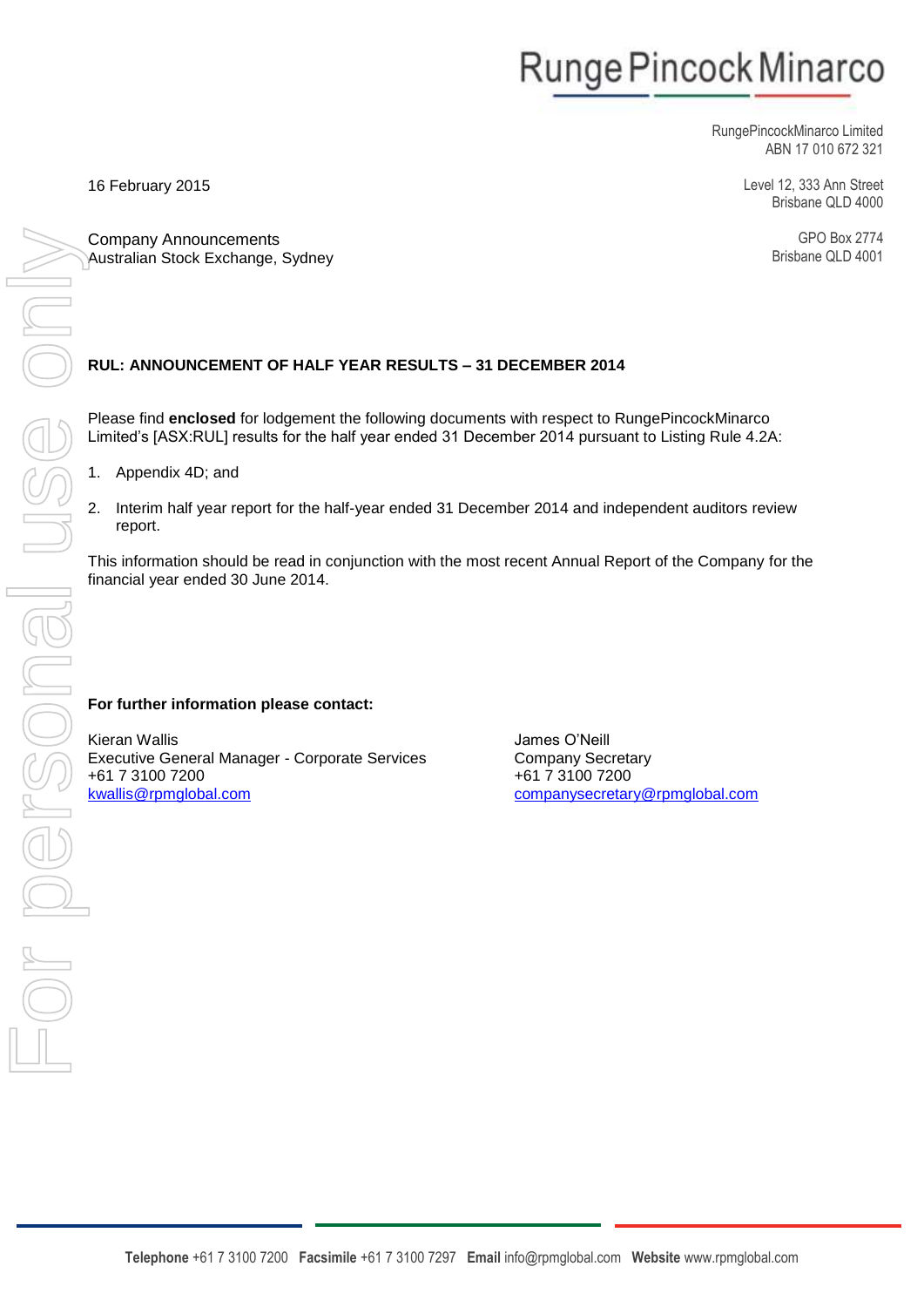# Runge Pincock Minarco

RungePincockMinarco Limited ABN 17 010 672 321

> Level 12, 333 Ann Street Brisbane QLD 4000

> > GPO Box 2774 Brisbane QLD 4001

Company Announcements Australian Stock Exchange, Sydney

### **RUL: ANNOUNCEMENT OF HALF YEAR RESULTS – 31 DECEMBER 2014**

Please find **enclosed** for lodgement the following documents with respect to RungePincockMinarco Limited's [ASX:RUL] results for the half year ended 31 December 2014 pursuant to Listing Rule 4.2A:

1. Appendix 4D; and

16 February 2015

report.

This information should be read in conjunction with the most recent Annual Report of the Company for the financial year ended 30 June 2014.

#### **For further information please contact:**

Kieran Wallis Executive General Manager - Corporate Services +61 7 3100 7200 [kwallis@rpmglobal.com](mailto:kwallis@rpmglobal.com)

James O'Neill Company Secretary +61 7 3100 7200 [companysecretary@rpmglobal.com](file:///C:/Users/joneill/AppData/Local/Microsoft/Windows/Temporary%20Internet%20Files/Content.Outlook/05B04UX4/companysecretary@rpmglobal.com)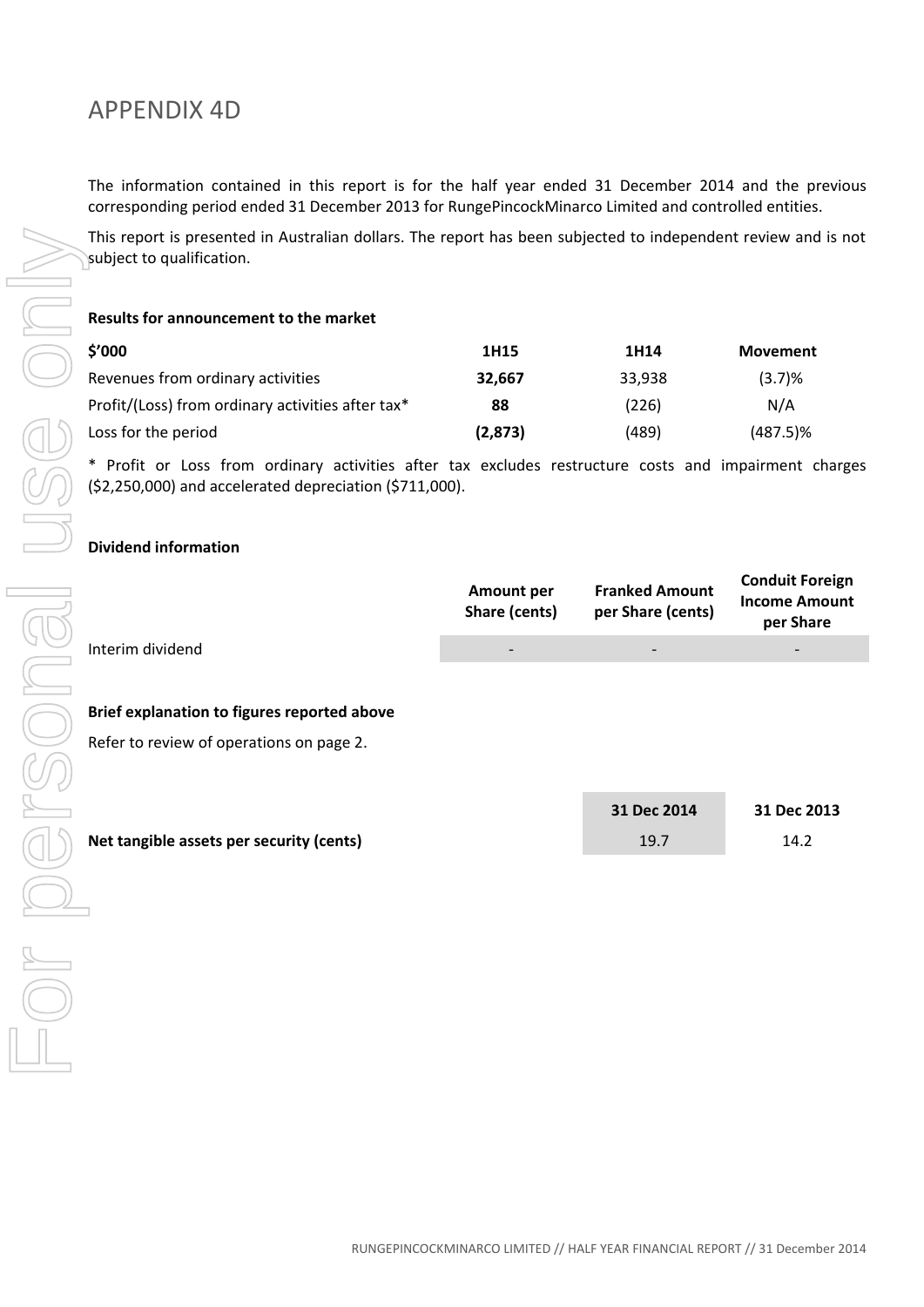# APPENDIX 4D

The information contained in this report is for the half year ended 31 December 2014 and the previous corresponding period ended 31 December 2013 for RungePincockMinarco Limited and controlled entities.

This report is presented in Australian dollars. The report has been subjected to independent review and is not subject to qualification.

#### **Results for announcement to the market**

| This report is presented in Australian dollars. The report has been subjected to independent review and<br>subject to qualification.                        |                                    |                                            |                                                       |
|-------------------------------------------------------------------------------------------------------------------------------------------------------------|------------------------------------|--------------------------------------------|-------------------------------------------------------|
| Results for announcement to the market                                                                                                                      |                                    |                                            |                                                       |
| \$'000                                                                                                                                                      | 1H15                               | 1H14                                       | <b>Movement</b>                                       |
| Revenues from ordinary activities                                                                                                                           | 32,667                             | 33,938                                     | (3.7)%                                                |
| Profit/(Loss) from ordinary activities after tax*                                                                                                           | 88                                 | (226)                                      | N/A                                                   |
| Loss for the period                                                                                                                                         | (2,873)                            | (489)                                      | $(487.5)\%$                                           |
| * Profit or Loss from ordinary activities after tax excludes restructure costs and impairment ch<br>(\$2,250,000) and accelerated depreciation (\$711,000). |                                    |                                            |                                                       |
| <b>Dividend information</b>                                                                                                                                 |                                    |                                            |                                                       |
|                                                                                                                                                             | <b>Amount per</b><br>Share (cents) | <b>Franked Amount</b><br>per Share (cents) | <b>Conduit Fore</b><br><b>Income Amo</b><br>per Share |
| Interim dividend                                                                                                                                            |                                    |                                            |                                                       |
|                                                                                                                                                             |                                    |                                            |                                                       |
| Brief explanation to figures reported above                                                                                                                 |                                    |                                            |                                                       |
| Refer to review of operations on page 2.                                                                                                                    |                                    |                                            |                                                       |
|                                                                                                                                                             |                                    |                                            |                                                       |
|                                                                                                                                                             |                                    | 31 Dec 2014                                | 31 Dec 201                                            |
| Net tangible assets per security (cents)                                                                                                                    |                                    | 19.7                                       | 14.2                                                  |
|                                                                                                                                                             |                                    |                                            |                                                       |
|                                                                                                                                                             |                                    |                                            |                                                       |
|                                                                                                                                                             |                                    |                                            |                                                       |
|                                                                                                                                                             |                                    |                                            |                                                       |
|                                                                                                                                                             |                                    |                                            |                                                       |

\* Profit or Loss from ordinary activities after tax excludes restructure costs and impairment charges (\$2,250,000) and accelerated depreciation (\$711,000).

#### **Dividend information**

|                  | Amount per<br><b>Share (cents)</b> | <b>Franked Amount</b><br>per Share (cents) | <b>Conduit Foreign</b><br><b>Income Amount</b><br>per Share |
|------------------|------------------------------------|--------------------------------------------|-------------------------------------------------------------|
| Interim dividend | $\overline{\phantom{a}}$           | $\overline{\phantom{0}}$                   |                                                             |

#### **Brief explanation to figures reported above**

|                                          | 31 Dec 2014 | 31 Dec 2013 |
|------------------------------------------|-------------|-------------|
| Net tangible assets per security (cents) | 19.7        | 14.2        |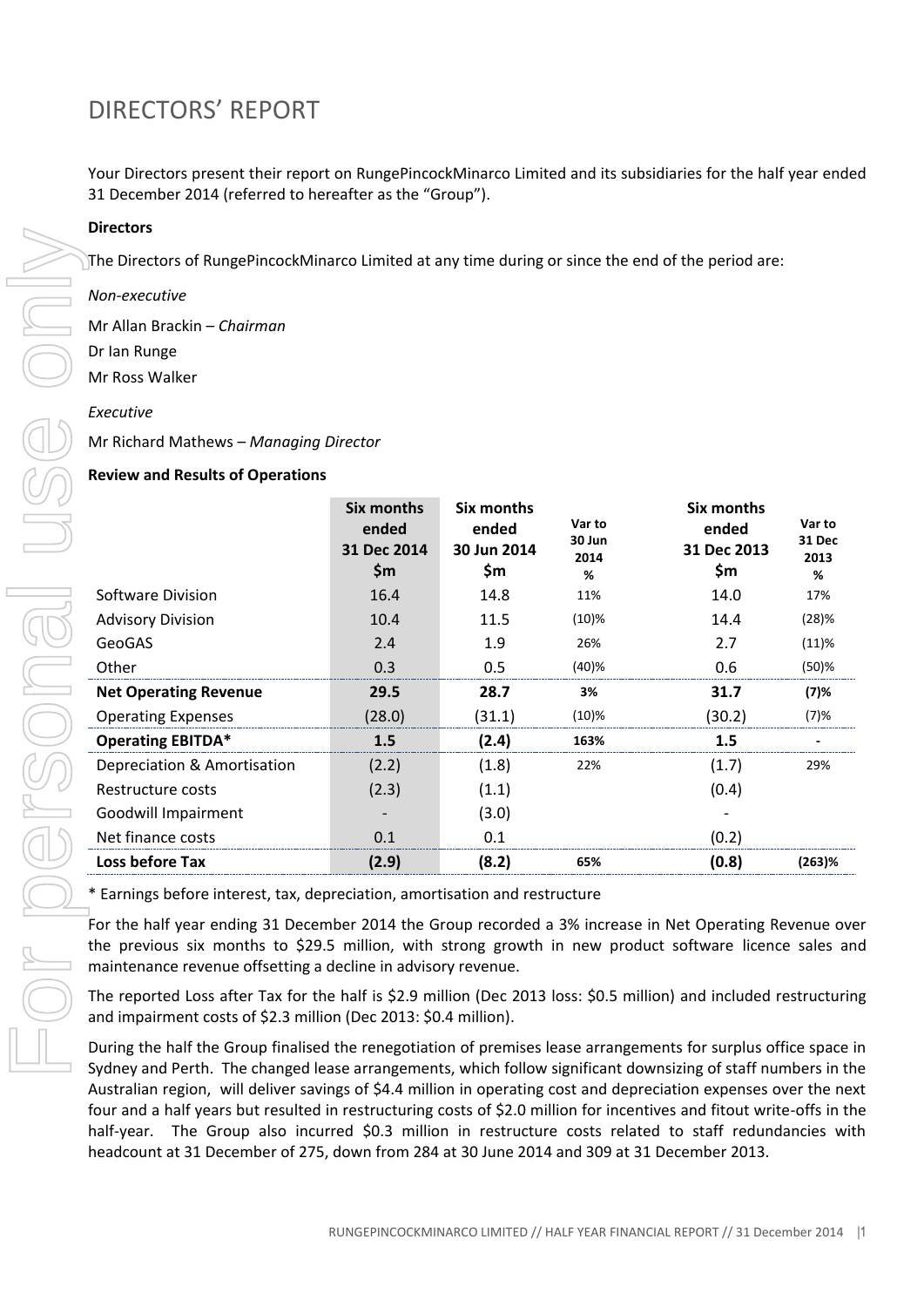Your Directors present their report on RungePincockMinarco Limited and its subsidiaries for the half year ended 31 December 2014 (referred to hereafter as the "Group").

#### **Directors**

#### *Non-executive*

#### *Executive*

#### **Review and Results of Operations**

| טוו כננטו א                                                                                                                                                                                                                                                                                                                                                                                                                                                                                                                                                                                                                                                                                                                                                                                                                                                                       |                                                    |                                           |                               |                                                  |                                      |  |  |
|-----------------------------------------------------------------------------------------------------------------------------------------------------------------------------------------------------------------------------------------------------------------------------------------------------------------------------------------------------------------------------------------------------------------------------------------------------------------------------------------------------------------------------------------------------------------------------------------------------------------------------------------------------------------------------------------------------------------------------------------------------------------------------------------------------------------------------------------------------------------------------------|----------------------------------------------------|-------------------------------------------|-------------------------------|--------------------------------------------------|--------------------------------------|--|--|
| The Directors of RungePincockMinarco Limited at any time during or since the end of the period are:                                                                                                                                                                                                                                                                                                                                                                                                                                                                                                                                                                                                                                                                                                                                                                               |                                                    |                                           |                               |                                                  |                                      |  |  |
| Non-executive                                                                                                                                                                                                                                                                                                                                                                                                                                                                                                                                                                                                                                                                                                                                                                                                                                                                     |                                                    |                                           |                               |                                                  |                                      |  |  |
| Mr Allan Brackin - Chairman                                                                                                                                                                                                                                                                                                                                                                                                                                                                                                                                                                                                                                                                                                                                                                                                                                                       |                                                    |                                           |                               |                                                  |                                      |  |  |
| Dr Ian Runge                                                                                                                                                                                                                                                                                                                                                                                                                                                                                                                                                                                                                                                                                                                                                                                                                                                                      |                                                    |                                           |                               |                                                  |                                      |  |  |
| Mr Ross Walker                                                                                                                                                                                                                                                                                                                                                                                                                                                                                                                                                                                                                                                                                                                                                                                                                                                                    |                                                    |                                           |                               |                                                  |                                      |  |  |
| Executive                                                                                                                                                                                                                                                                                                                                                                                                                                                                                                                                                                                                                                                                                                                                                                                                                                                                         |                                                    |                                           |                               |                                                  |                                      |  |  |
| Mr Richard Mathews - Managing Director                                                                                                                                                                                                                                                                                                                                                                                                                                                                                                                                                                                                                                                                                                                                                                                                                                            |                                                    |                                           |                               |                                                  |                                      |  |  |
| <b>Review and Results of Operations</b>                                                                                                                                                                                                                                                                                                                                                                                                                                                                                                                                                                                                                                                                                                                                                                                                                                           |                                                    |                                           |                               |                                                  |                                      |  |  |
|                                                                                                                                                                                                                                                                                                                                                                                                                                                                                                                                                                                                                                                                                                                                                                                                                                                                                   | <b>Six months</b><br>ended<br>31 Dec 2014<br>\$m\$ | Six months<br>ended<br>30 Jun 2014<br>\$m | Var to<br>30 Jun<br>2014<br>% | <b>Six months</b><br>ended<br>31 Dec 2013<br>\$m | Var to<br><b>31 Dec</b><br>2013<br>% |  |  |
| <b>Software Division</b>                                                                                                                                                                                                                                                                                                                                                                                                                                                                                                                                                                                                                                                                                                                                                                                                                                                          | 16.4                                               | 14.8                                      | 11%                           | 14.0                                             | 17%                                  |  |  |
| <b>Advisory Division</b>                                                                                                                                                                                                                                                                                                                                                                                                                                                                                                                                                                                                                                                                                                                                                                                                                                                          | 10.4                                               | 11.5                                      | (10)%                         | 14.4                                             | (28)%                                |  |  |
| GeoGAS                                                                                                                                                                                                                                                                                                                                                                                                                                                                                                                                                                                                                                                                                                                                                                                                                                                                            | 2.4                                                | 1.9                                       | 26%                           | 2.7                                              | (11)%                                |  |  |
| Other                                                                                                                                                                                                                                                                                                                                                                                                                                                                                                                                                                                                                                                                                                                                                                                                                                                                             | 0.3                                                | 0.5                                       | (40)%                         | 0.6                                              | $(50)$ %                             |  |  |
| <b>Net Operating Revenue</b>                                                                                                                                                                                                                                                                                                                                                                                                                                                                                                                                                                                                                                                                                                                                                                                                                                                      | 29.5                                               | 28.7                                      | 3%                            | 31.7                                             | (7)%                                 |  |  |
| <b>Operating Expenses</b>                                                                                                                                                                                                                                                                                                                                                                                                                                                                                                                                                                                                                                                                                                                                                                                                                                                         | (28.0)                                             | (31.1)                                    | (10)%                         | (30.2)                                           | (7)%                                 |  |  |
| <b>Operating EBITDA*</b>                                                                                                                                                                                                                                                                                                                                                                                                                                                                                                                                                                                                                                                                                                                                                                                                                                                          | 1.5                                                | (2.4)                                     | 163%                          | 1.5                                              |                                      |  |  |
| Depreciation & Amortisation                                                                                                                                                                                                                                                                                                                                                                                                                                                                                                                                                                                                                                                                                                                                                                                                                                                       | (2.2)                                              | (1.8)                                     | 22%                           | (1.7)                                            | 29%                                  |  |  |
| Restructure costs                                                                                                                                                                                                                                                                                                                                                                                                                                                                                                                                                                                                                                                                                                                                                                                                                                                                 | (2.3)                                              | (1.1)                                     |                               | (0.4)                                            |                                      |  |  |
| Goodwill Impairment                                                                                                                                                                                                                                                                                                                                                                                                                                                                                                                                                                                                                                                                                                                                                                                                                                                               |                                                    | (3.0)                                     |                               |                                                  |                                      |  |  |
| Net finance costs                                                                                                                                                                                                                                                                                                                                                                                                                                                                                                                                                                                                                                                                                                                                                                                                                                                                 | 0.1                                                | 0.1                                       |                               | (0.2)                                            |                                      |  |  |
| Loss before Tax                                                                                                                                                                                                                                                                                                                                                                                                                                                                                                                                                                                                                                                                                                                                                                                                                                                                   | (2.9)                                              | (8.2)                                     | 65%                           | (0.8)                                            | $(263)$ %                            |  |  |
| * Earnings before interest, tax, depreciation, amortisation and restructure<br>For the half year ending 31 December 2014 the Group recorded a 3% increase in Net Operating Revenue ove<br>the previous six months to \$29.5 million, with strong growth in new product software licence sales an<br>maintenance revenue offsetting a decline in advisory revenue.                                                                                                                                                                                                                                                                                                                                                                                                                                                                                                                 |                                                    |                                           |                               |                                                  |                                      |  |  |
|                                                                                                                                                                                                                                                                                                                                                                                                                                                                                                                                                                                                                                                                                                                                                                                                                                                                                   |                                                    |                                           |                               |                                                  |                                      |  |  |
| The reported Loss after Tax for the half is \$2.9 million (Dec 2013 loss: \$0.5 million) and included restructurin<br>and impairment costs of \$2.3 million (Dec 2013: \$0.4 million).<br>During the half the Group finalised the renegotiation of premises lease arrangements for surplus office space i<br>Sydney and Perth. The changed lease arrangements, which follow significant downsizing of staff numbers in th<br>Australian region, will deliver savings of \$4.4 million in operating cost and depreciation expenses over the nex<br>four and a half years but resulted in restructuring costs of \$2.0 million for incentives and fitout write-offs in th<br>half-year. The Group also incurred \$0.3 million in restructure costs related to staff redundancies wit<br>headcount at 31 December of 275, down from 284 at 30 June 2014 and 309 at 31 December 2013. |                                                    |                                           |                               |                                                  |                                      |  |  |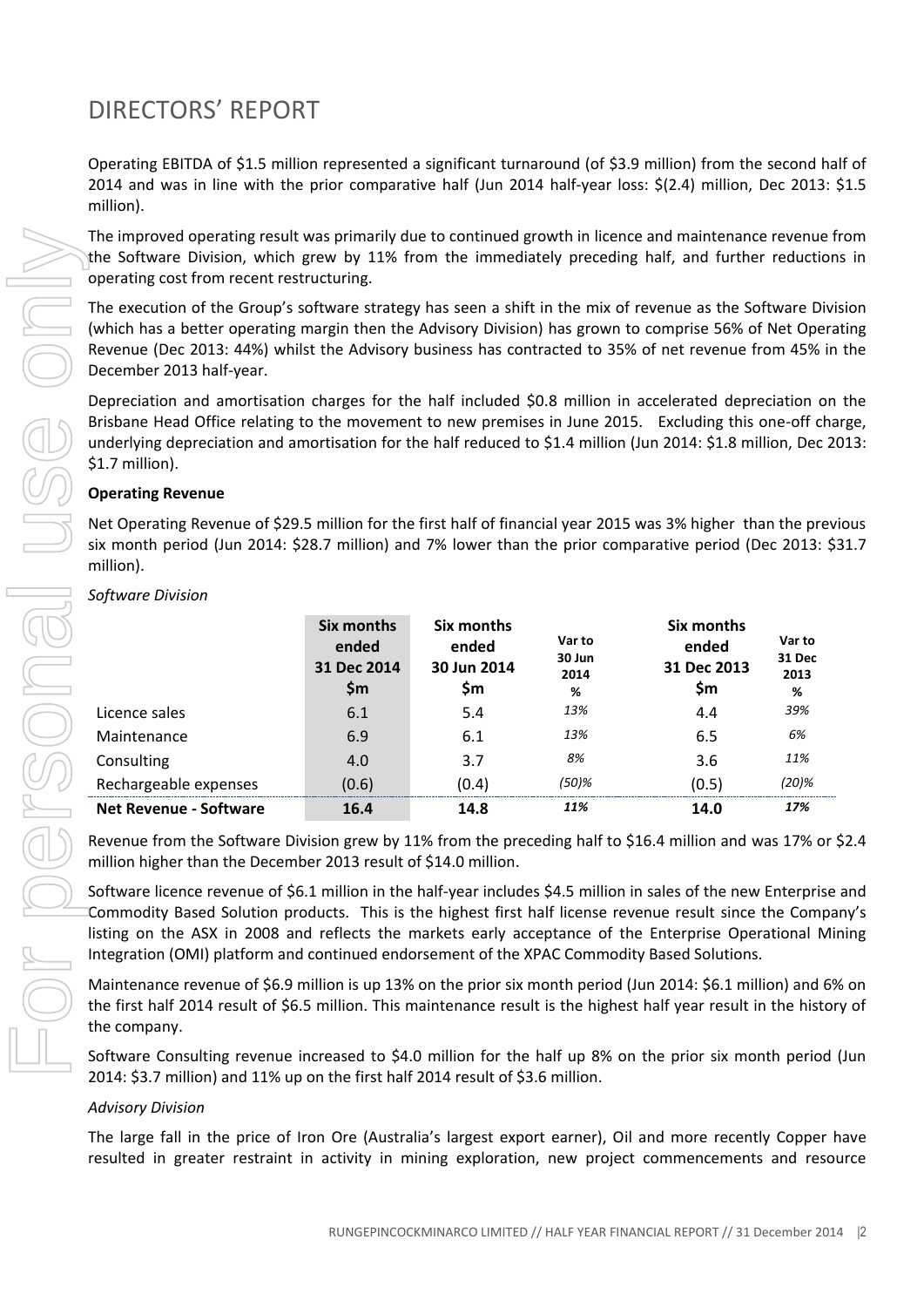Operating EBITDA of \$1.5 million represented a significant turnaround (of \$3.9 million) from the second half of 2014 and was in line with the prior comparative half (Jun 2014 half-year loss: \$(2.4) million, Dec 2013: \$1.5 million).

The improved operating result was primarily due to continued growth in licence and maintenance revenue from the Software Division, which grew by 11% from the immediately preceding half, and further reductions in operating cost from recent restructuring.

### **Operating Revenue**

| The improved operating result was primarily due to continued growth in licence and maintenance revenue from<br>the Software Division, which grew by 11% from the immediately preceding half, and further reductions in<br>operating cost from recent restructuring.                                                                                                                                                                              |                            |                            |                     |                     |                     |  |  |
|--------------------------------------------------------------------------------------------------------------------------------------------------------------------------------------------------------------------------------------------------------------------------------------------------------------------------------------------------------------------------------------------------------------------------------------------------|----------------------------|----------------------------|---------------------|---------------------|---------------------|--|--|
| The execution of the Group's software strategy has seen a shift in the mix of revenue as the Software Division<br>(which has a better operating margin then the Advisory Division) has grown to comprise 56% of Net Operating<br>Revenue (Dec 2013: 44%) whilst the Advisory business has contracted to 35% of net revenue from 45% in the<br>December 2013 half-year.                                                                           |                            |                            |                     |                     |                     |  |  |
| Depreciation and amortisation charges for the half included \$0.8 million in accelerated depreciation on the<br>Brisbane Head Office relating to the movement to new premises in June 2015. Excluding this one-off charge,<br>underlying depreciation and amortisation for the half reduced to \$1.4 million (Jun 2014: \$1.8 million, Dec 2013:<br>\$1.7 million).                                                                              |                            |                            |                     |                     |                     |  |  |
| <b>Operating Revenue</b>                                                                                                                                                                                                                                                                                                                                                                                                                         |                            |                            |                     |                     |                     |  |  |
| Net Operating Revenue of \$29.5 million for the first half of financial year 2015 was 3% higher than the previous<br>six month period (Jun 2014: \$28.7 million) and 7% lower than the prior comparative period (Dec 2013: \$31.7<br>million).                                                                                                                                                                                                   |                            |                            |                     |                     |                     |  |  |
| Software Division                                                                                                                                                                                                                                                                                                                                                                                                                                |                            |                            |                     |                     |                     |  |  |
|                                                                                                                                                                                                                                                                                                                                                                                                                                                  | <b>Six months</b><br>ended | <b>Six months</b><br>ended | Var to              | Six months<br>ended | Var to              |  |  |
|                                                                                                                                                                                                                                                                                                                                                                                                                                                  | 31 Dec 2014<br>\$m         | 30 Jun 2014<br>\$m         | 30 Jun<br>2014<br>% | 31 Dec 2013<br>\$m  | 31 Dec<br>2013<br>% |  |  |
| Licence sales                                                                                                                                                                                                                                                                                                                                                                                                                                    | 6.1                        | 5.4                        | 13%                 | 4.4                 | 39%                 |  |  |
| Maintenance                                                                                                                                                                                                                                                                                                                                                                                                                                      | 6.9                        | 6.1                        | 13%                 | 6.5                 | 6%                  |  |  |
| Consulting                                                                                                                                                                                                                                                                                                                                                                                                                                       | 4.0                        | 3.7                        | $8\%$               | 3.6                 | 11%                 |  |  |
| Rechargeable expenses                                                                                                                                                                                                                                                                                                                                                                                                                            | (0.6)                      | (0.4)                      | $(50)$ %            | (0.5)               | (20)%               |  |  |
| <b>Net Revenue - Software</b>                                                                                                                                                                                                                                                                                                                                                                                                                    | 16.4                       | 14.8                       | 11%                 | 14.0                | 17%                 |  |  |
| Revenue from the Software Division grew by 11% from the preceding half to \$16.4 million and was 17% or \$2.4<br>million higher than the December 2013 result of \$14.0 million.                                                                                                                                                                                                                                                                 |                            |                            |                     |                     |                     |  |  |
| Software licence revenue of \$6.1 million in the half-year includes \$4.5 million in sales of the new Enterprise and<br>Commodity Based Solution products. This is the highest first half license revenue result since the Company's<br>listing on the ASX in 2008 and reflects the markets early acceptance of the Enterprise Operational Mining<br>Integration (OMI) platform and continued endorsement of the XPAC Commodity Based Solutions. |                            |                            |                     |                     |                     |  |  |
| Maintenance revenue of \$6.9 million is up 13% on the prior six month period (Jun 2014: \$6.1 million) and 6% on<br>the first half 2014 result of \$6.5 million. This maintenance result is the highest half year result in the history of<br>the company.                                                                                                                                                                                       |                            |                            |                     |                     |                     |  |  |
| Software Consulting revenue increased to \$4.0 million for the half up 8% on the prior six month period (Jun<br>2014: \$3.7 million) and 11% up on the first half 2014 result of \$3.6 million.                                                                                                                                                                                                                                                  |                            |                            |                     |                     |                     |  |  |
| <b>Advisory Division</b>                                                                                                                                                                                                                                                                                                                                                                                                                         |                            |                            |                     |                     |                     |  |  |
| The large fall in the price of Iron Ore (Australia's largest export earner), Oil and more recently Copper have<br>resulted in greater restraint in activity in mining exploration, new project commencements and resource                                                                                                                                                                                                                        |                            |                            |                     |                     |                     |  |  |

#### *Software Division*

### *Advisory Division*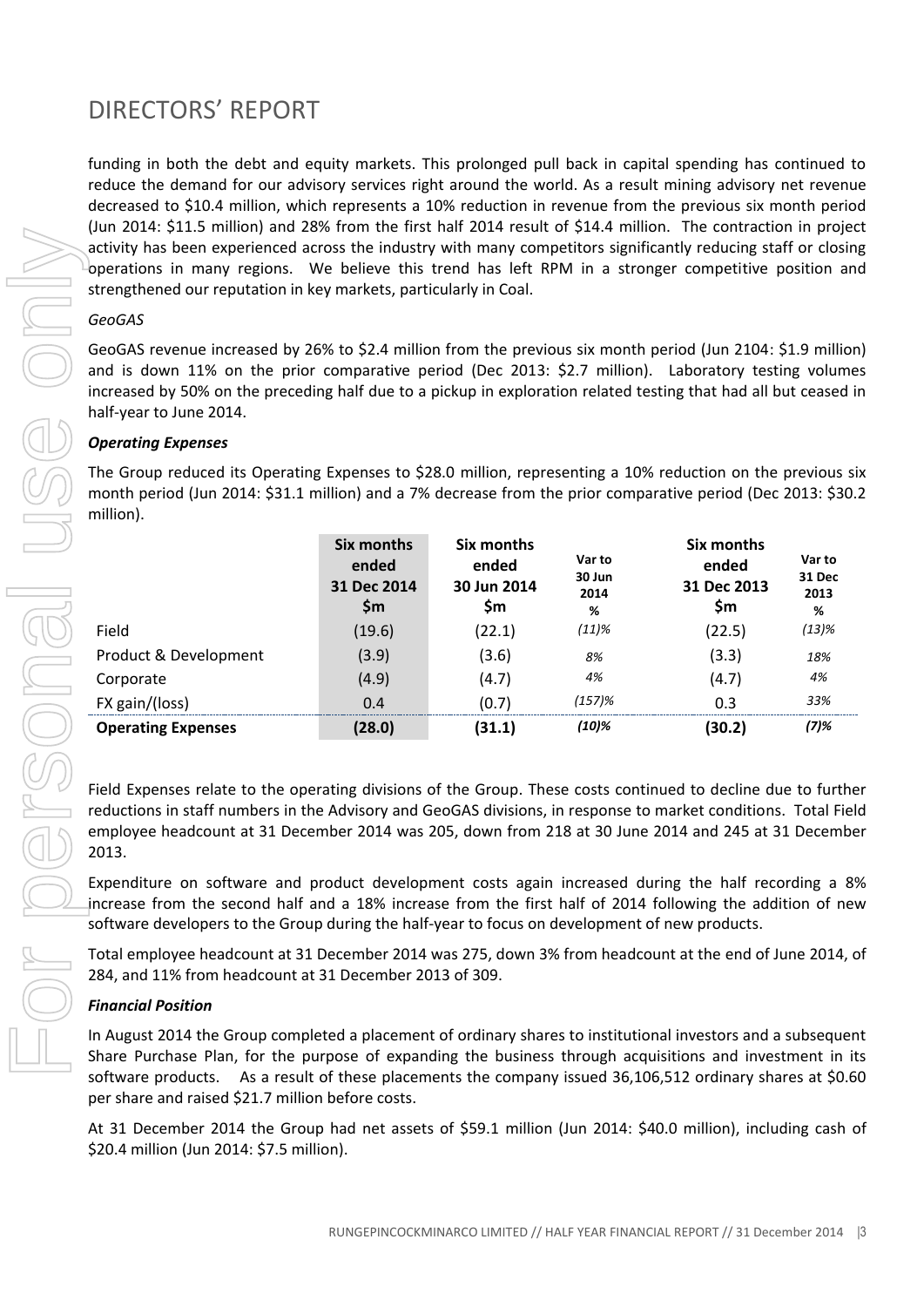funding in both the debt and equity markets. This prolonged pull back in capital spending has continued to reduce the demand for our advisory services right around the world. As a result mining advisory net revenue decreased to \$10.4 million, which represents a 10% reduction in revenue from the previous six month period (Jun 2014: \$11.5 million) and 28% from the first half 2014 result of \$14.4 million. The contraction in project activity has been experienced across the industry with many competitors significantly reducing staff or closing operations in many regions. We believe this trend has left RPM in a stronger competitive position and strengthened our reputation in key markets, particularly in Coal.

### *GeoGAS*

GeoGAS revenue increased by 26% to \$2.4 million from the previous six month period (Jun 2104: \$1.9 million) and is down 11% on the prior comparative period (Dec 2013: \$2.7 million). Laboratory testing volumes increased by 50% on the preceding half due to a pickup in exploration related testing that had all but ceased in half-year to June 2014.

### *Operating Expenses*

The Group reduced its Operating Expenses to \$28.0 million, representing a 10% reduction on the previous six month period (Jun 2014: \$31.1 million) and a 7% decrease from the prior comparative period (Dec 2013: \$30.2 million).

|                           | Six months<br>ended<br>31 Dec 2014<br>Sm | Six months<br>ended<br>30 Jun 2014<br>Sm | Var to<br>30 Jun<br>2014<br>% | Six months<br>ended<br>31 Dec 2013<br>Sm | Var to<br>31 Dec<br>2013<br>% |
|---------------------------|------------------------------------------|------------------------------------------|-------------------------------|------------------------------------------|-------------------------------|
| Field                     | (19.6)                                   | (22.1)                                   | (11)%                         | (22.5)                                   | $(13)$ %                      |
| Product & Development     | (3.9)                                    | (3.6)                                    | 8%                            | (3.3)                                    | 18%                           |
| Corporate                 | (4.9)                                    | (4.7)                                    | 4%                            | (4.7)                                    | 4%                            |
| FX gain/(loss)            | 0.4                                      | (0.7)                                    | (157)%                        | 0.3                                      | 33%                           |
| <b>Operating Expenses</b> | (28.0)                                   | (31.1)                                   | (10)%                         | (30.2)                                   | (7)%                          |

Field Expenses relate to the operating divisions of the Group. These costs continued to decline due to further reductions in staff numbers in the Advisory and GeoGAS divisions, in response to market conditions. Total Field employee headcount at 31 December 2014 was 205, down from 218 at 30 June 2014 and 245 at 31 December 2013.

Expenditure on software and product development costs again increased during the half recording a 8% increase from the second half and a 18% increase from the first half of 2014 following the addition of new software developers to the Group during the half-year to focus on development of new products.

Total employee headcount at 31 December 2014 was 275, down 3% from headcount at the end of June 2014, of 284, and 11% from headcount at 31 December 2013 of 309.

### *Financial Position*

In August 2014 the Group completed a placement of ordinary shares to institutional investors and a subsequent Share Purchase Plan, for the purpose of expanding the business through acquisitions and investment in its software products. As a result of these placements the company issued 36,106,512 ordinary shares at \$0.60 per share and raised \$21.7 million before costs.

At 31 December 2014 the Group had net assets of \$59.1 million (Jun 2014: \$40.0 million), including cash of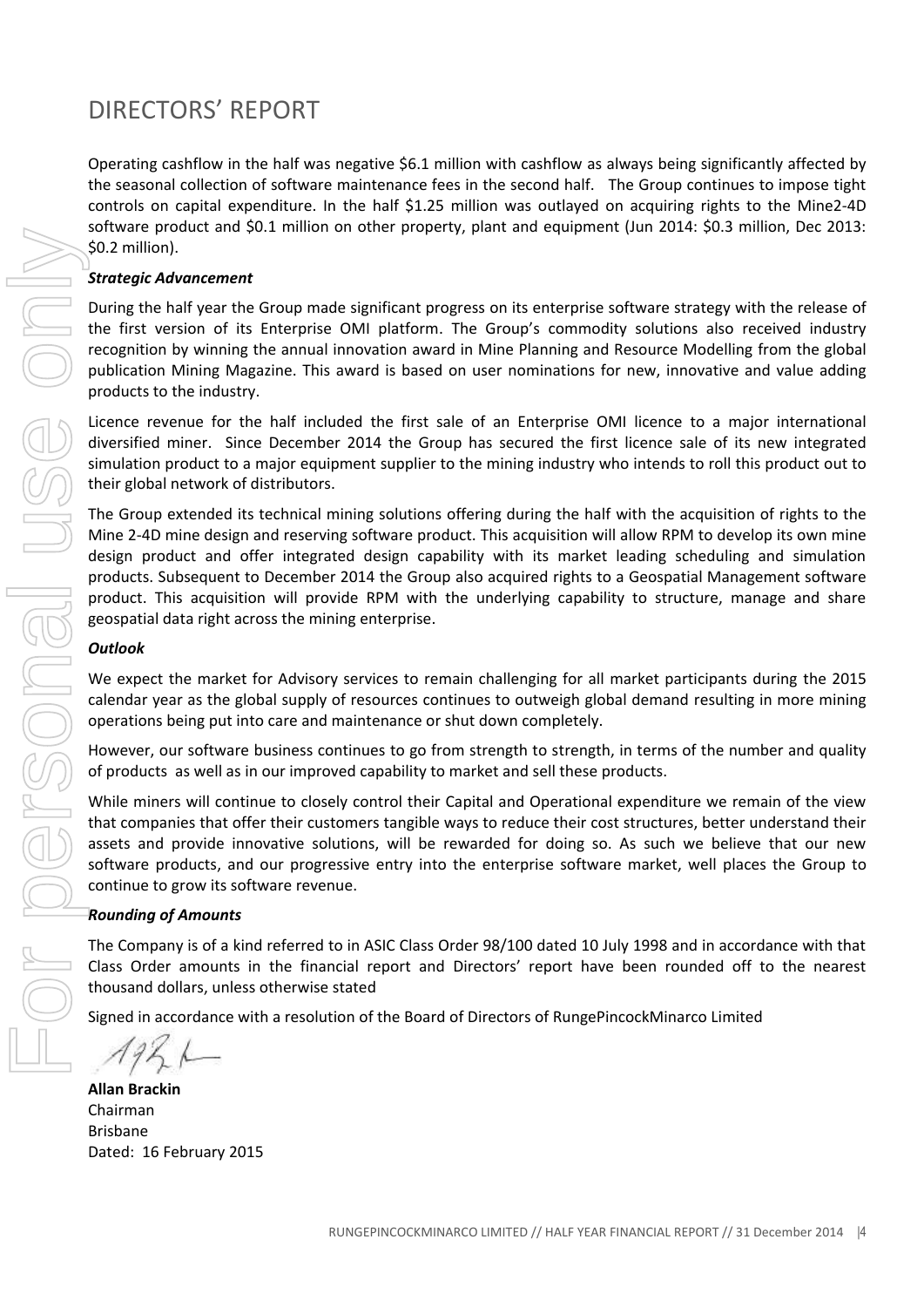Operating cashflow in the half was negative \$6.1 million with cashflow as always being significantly affected by the seasonal collection of software maintenance fees in the second half. The Group continues to impose tight controls on capital expenditure. In the half \$1.25 million was outlayed on acquiring rights to the Mine2-4D software product and \$0.1 million on other property, plant and equipment (Jun 2014: \$0.3 million, Dec 2013: \$0.2 million).

### *Strategic Advancement*

During the half year the Group made significant progress on its enterprise software strategy with the release of the first version of its Enterprise OMI platform. The Group's commodity solutions also received industry recognition by winning the annual innovation award in Mine Planning and Resource Modelling from the global publication Mining Magazine. This award is based on user nominations for new, innovative and value adding products to the industry.

Licence revenue for the half included the first sale of an Enterprise OMI licence to a major international diversified miner. Since December 2014 the Group has secured the first licence sale of its new integrated simulation product to a major equipment supplier to the mining industry who intends to roll this product out to their global network of distributors.

The Group extended its technical mining solutions offering during the half with the acquisition of rights to the Mine 2-4D mine design and reserving software product. This acquisition will allow RPM to develop its own mine design product and offer integrated design capability with its market leading scheduling and simulation products. Subsequent to December 2014 the Group also acquired rights to a Geospatial Management software product. This acquisition will provide RPM with the underlying capability to structure, manage and share geospatial data right across the mining enterprise.

#### *Outlook*

We expect the market for Advisory services to remain challenging for all market participants during the 2015 calendar year as the global supply of resources continues to outweigh global demand resulting in more mining operations being put into care and maintenance or shut down completely.

However, our software business continues to go from strength to strength, in terms of the number and quality of products as well as in our improved capability to market and sell these products.

While miners will continue to closely control their Capital and Operational expenditure we remain of the view that companies that offer their customers tangible ways to reduce their cost structures, better understand their assets and provide innovative solutions, will be rewarded for doing so. As such we believe that our new software products, and our progressive entry into the enterprise software market, well places the Group to continue to grow its software revenue.

#### *Rounding of Amounts*

The Company is of a kind referred to in ASIC Class Order 98/100 dated 10 July 1998 and in accordance with that Class Order amounts in the financial report and Directors' report have been rounded off to the nearest thousand dollars, unless otherwise stated

Signed in accordance with a resolution of the Board of Directors of RungePincockMinarco Limited

**Allan Brackin** Chairman Brisbane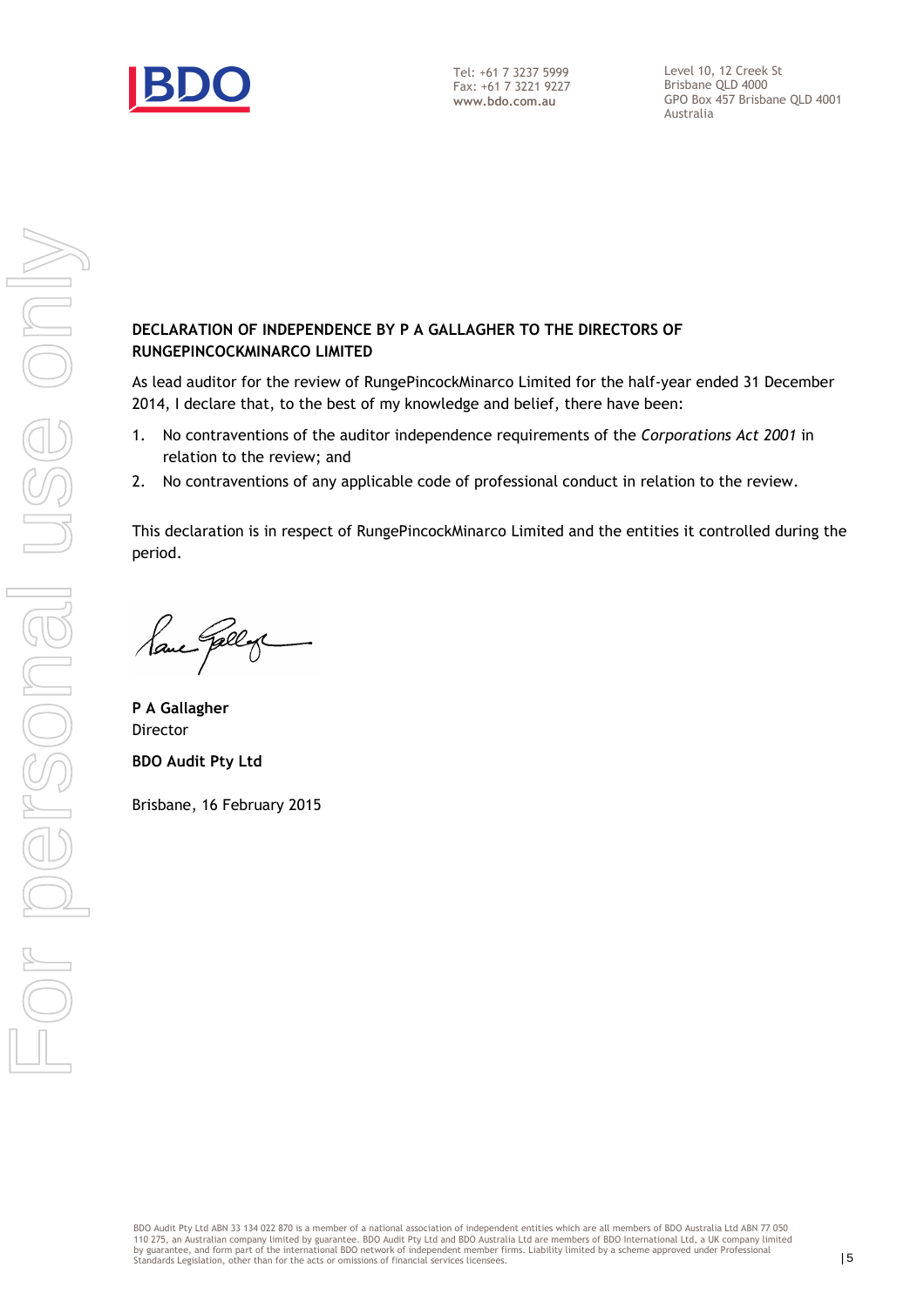

Level 10, 12 Creek St Brisbane QLD 4000 GPO Box 457 Brisbane QLD 4001 Australia

#### DECLARATION OF INDEPENDENCE BY P A GALLAGHER TO THE DIRECTORS OF RUNGEPINCOCKMINARCO LIMITED

As lead auditor for the review of RungePincockMinarco Limited for the half-year ended 31 December 2014, I declare that, to the best of my knowledge and belief, there have been:

- 1. No contraventions of the auditor independence requirements of the Corporations Act 2001 in relation to the review; and
- 2. No contraventions of any applicable code of professional conduct in relation to the review.

This declaration is in respect of RungePincockMinarco Limited and the entities it controlled during the period.

Paul Gelly

P A Gallagher Director BDO Audit Pty Ltd

Brisbane, 16 February 2015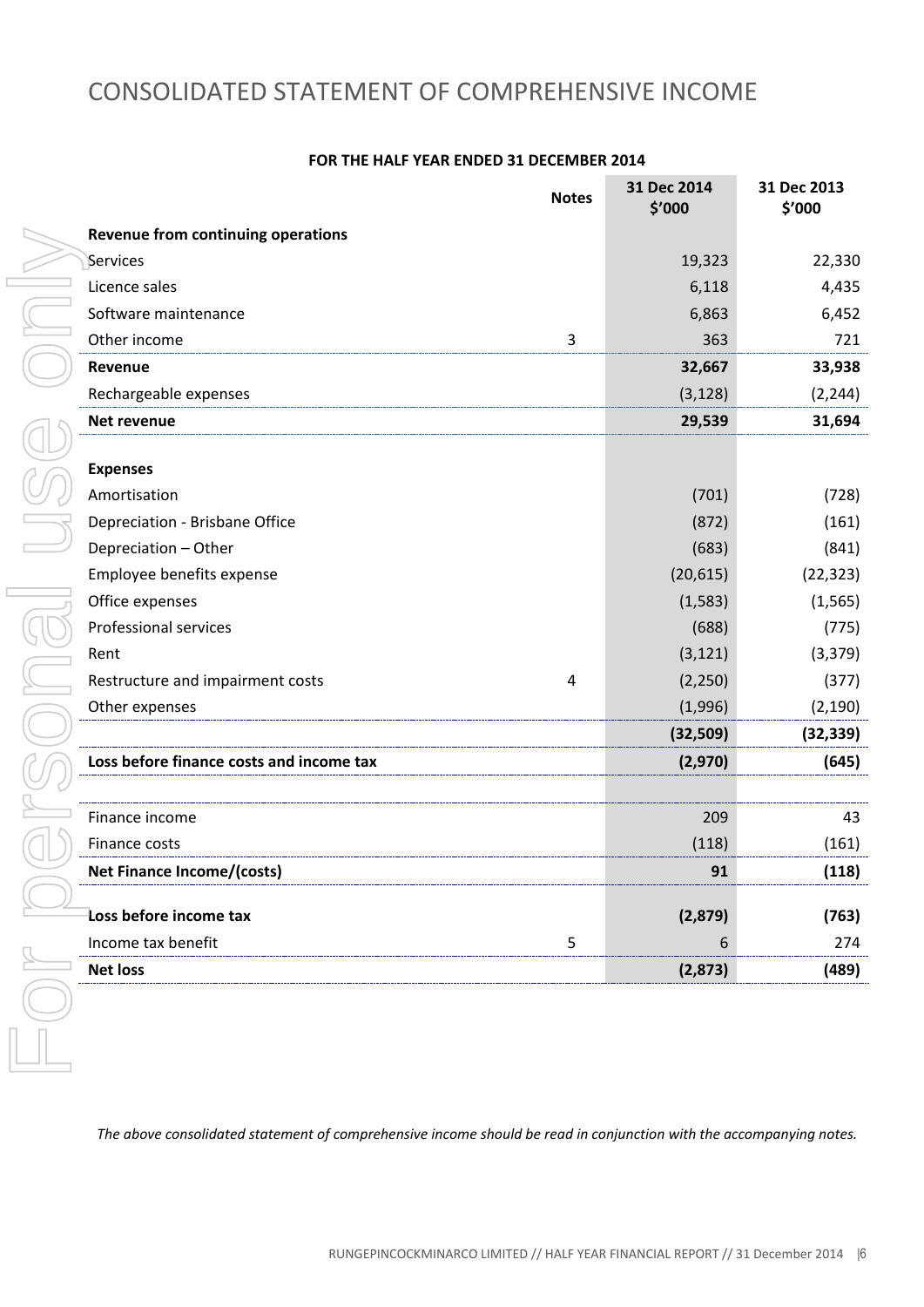### CONSOLIDATED STATEMENT OF COMPREHENSIVE INCOME

|                                          | <b>Notes</b> | 31 Dec 2014<br>\$'000 | 31 Dec 2013<br>\$'000 |
|------------------------------------------|--------------|-----------------------|-----------------------|
| Revenue from continuing operations       |              |                       |                       |
| Services                                 |              | 19,323                | 22,330                |
| Licence sales                            |              | 6,118                 | 4,435                 |
| Software maintenance                     |              | 6,863                 | 6,452                 |
| Other income                             | 3            | 363                   | 721                   |
| Revenue                                  |              | 32,667                | 33,938                |
| Rechargeable expenses                    |              | (3, 128)              | (2, 244)              |
| Net revenue                              |              | 29,539                | 31,694                |
|                                          |              |                       |                       |
| <b>Expenses</b>                          |              |                       |                       |
| Amortisation                             |              | (701)                 | (728)                 |
| Depreciation - Brisbane Office           |              | (872)                 | (161)                 |
| Depreciation - Other                     |              | (683)                 | (841)                 |
| Employee benefits expense                |              | (20, 615)             | (22, 323)             |
| Office expenses                          |              | (1,583)               | (1, 565)              |
| <b>Professional services</b>             |              | (688)                 | (775)                 |
| Rent                                     |              | (3, 121)              | (3, 379)              |
| Restructure and impairment costs         | 4            | (2, 250)              | (377)                 |
| Other expenses                           |              | (1,996)               | (2, 190)              |
|                                          |              | (32, 509)             | (32, 339)             |
| Loss before finance costs and income tax |              | (2,970)               | (645)                 |
|                                          |              |                       |                       |
| Finance income                           |              | 209                   | 43                    |
| Finance costs                            |              | (118)                 | (161)                 |
| Net Finance Income/(costs)               |              | 91                    | (118)                 |
|                                          |              |                       |                       |
| Loss before income tax                   |              | (2,879)               | (763)                 |
| Income tax benefit                       | 5            | 6                     | 274                   |
| <b>Net loss</b>                          |              | (2,873)               | (489)                 |

#### **FOR THE HALF YEAR ENDED 31 DECEMBER 2014**

*The above consolidated statement of comprehensive income should be read in conjunction with the accompanying notes.*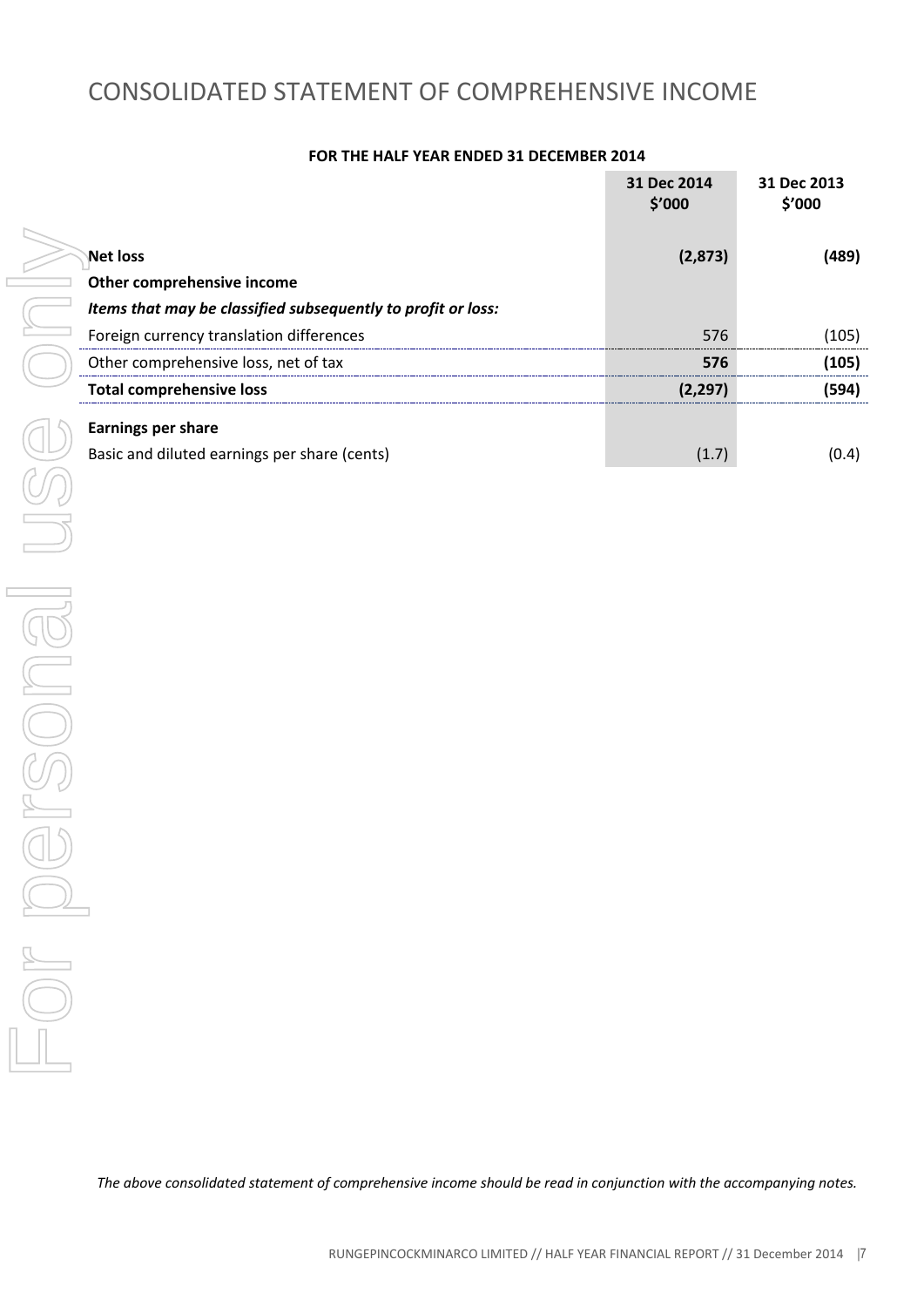### CONSOLIDATED STATEMENT OF COMPREHENSIVE INCOME

#### **FOR THE HALF YEAR ENDED 31 DECEMBER 2014**

|                                                              | 31 Dec 2014<br>\$′000 | 31 Dec 2013<br>\$'000 |
|--------------------------------------------------------------|-----------------------|-----------------------|
| <b>Net loss</b>                                              | (2,873)               | (489)                 |
| Other comprehensive income                                   |                       |                       |
| Items that may be classified subsequently to profit or loss: |                       |                       |
| Foreign currency translation differences                     | 576                   | (105)                 |
| Other comprehensive loss, net of tax                         | 576                   | (105)                 |
| <b>Total comprehensive loss</b>                              | (2.297)               | (594)                 |
| <b>Earnings per share</b>                                    |                       |                       |
| Basic and diluted earnings per share (cents)                 | (1.7)                 | (0.4)                 |

*The above consolidated statement of comprehensive income should be read in conjunction with the accompanying notes.*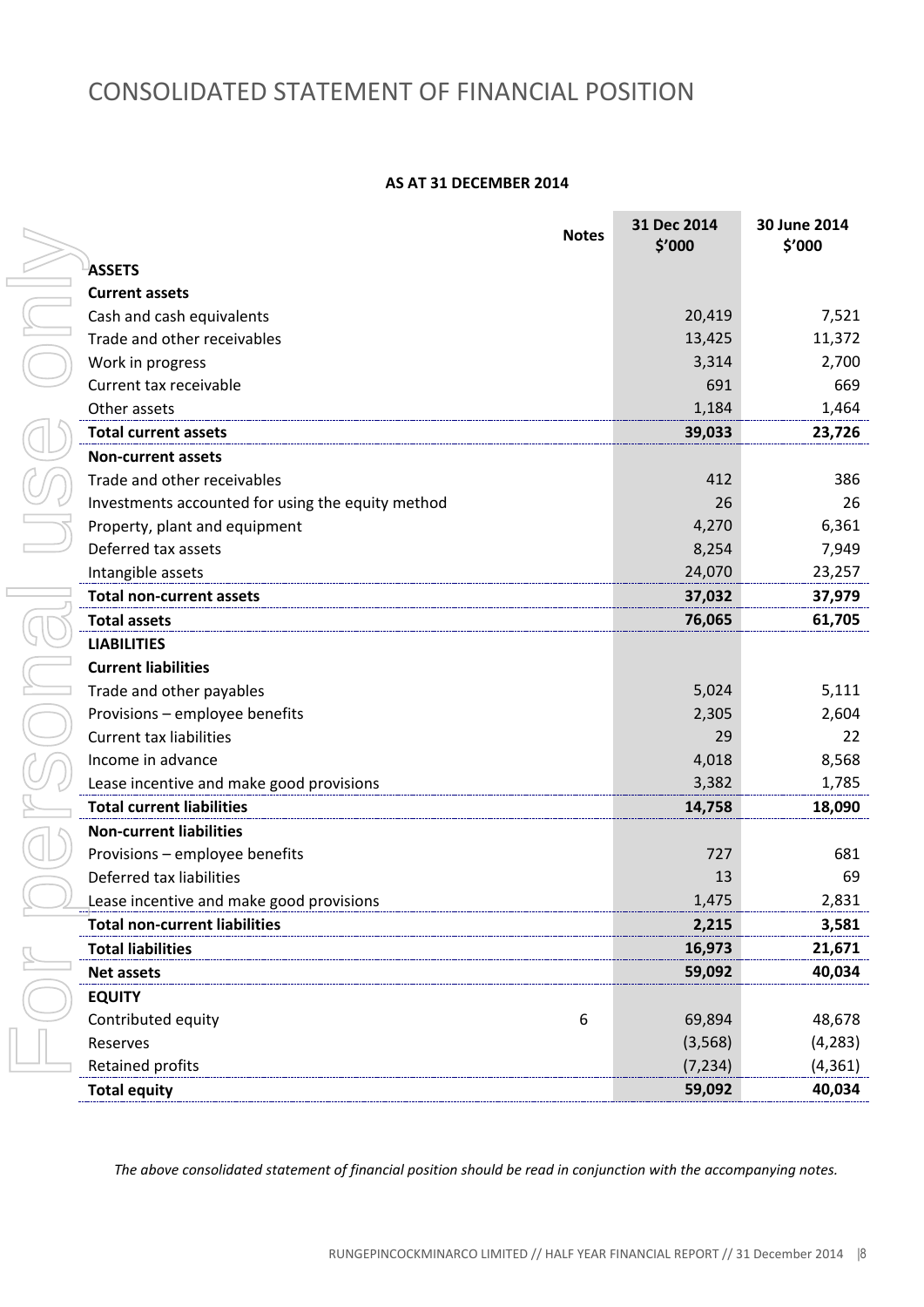### CONSOLIDATED STATEMENT OF FINANCIAL POSITION

#### **AS AT 31 DECEMBER 2014**

| <b>Notes</b>                                      | 31 Dec 2014<br>\$′000 | 30 June 2014<br>\$'000 |
|---------------------------------------------------|-----------------------|------------------------|
| <b>ASSETS</b>                                     |                       |                        |
| <b>Current assets</b>                             |                       |                        |
| Cash and cash equivalents                         | 20,419                | 7,521                  |
| Trade and other receivables                       | 13,425                | 11,372                 |
| Work in progress                                  | 3,314                 | 2,700                  |
| Current tax receivable                            | 691                   | 669                    |
| Other assets                                      | 1,184                 | 1,464                  |
| <b>Total current assets</b>                       | 39,033                | 23,726                 |
| <b>Non-current assets</b>                         |                       |                        |
| Trade and other receivables                       | 412                   | 386                    |
| Investments accounted for using the equity method | 26                    | 26                     |
| Property, plant and equipment                     | 4,270                 | 6,361                  |
| Deferred tax assets                               | 8,254                 | 7,949                  |
| Intangible assets                                 | 24,070                | 23,257                 |
| <b>Total non-current assets</b>                   | 37,032                | 37,979                 |
| <b>Total assets</b>                               | 76,065                | 61,705                 |
| <b>LIABILITIES</b>                                |                       |                        |
| <b>Current liabilities</b>                        |                       |                        |
| Trade and other payables                          | 5,024                 | 5,111                  |
| Provisions - employee benefits                    | 2,305                 | 2,604                  |
| <b>Current tax liabilities</b>                    | 29                    | 22                     |
| Income in advance                                 | 4,018                 | 8,568                  |
| Lease incentive and make good provisions          | 3,382                 | 1,785                  |
| <b>Total current liabilities</b>                  | 14,758                | 18,090                 |
| <b>Non-current liabilities</b>                    |                       |                        |
| Provisions - employee benefits                    | 727                   | 681                    |
| Deferred tax liabilities                          | 13                    | 69                     |
| Lease incentive and make good provisions          | 1,475                 | 2,831                  |
| <b>Total non-current liabilities</b>              | 2,215                 | 3,581                  |
| <b>Total liabilities</b>                          | 16,973                | 21,671                 |
| <b>Net assets</b>                                 | 59,092                | 40,034                 |
| <b>EQUITY</b>                                     |                       |                        |
| Contributed equity<br>6                           | 69,894                | 48,678                 |
| Reserves                                          | (3, 568)              | (4, 283)               |
| Retained profits                                  | (7, 234)              | (4, 361)               |
| <b>Total equity</b>                               | 59,092                | 40,034                 |

*The above consolidated statement of financial position should be read in conjunction with the accompanying notes.*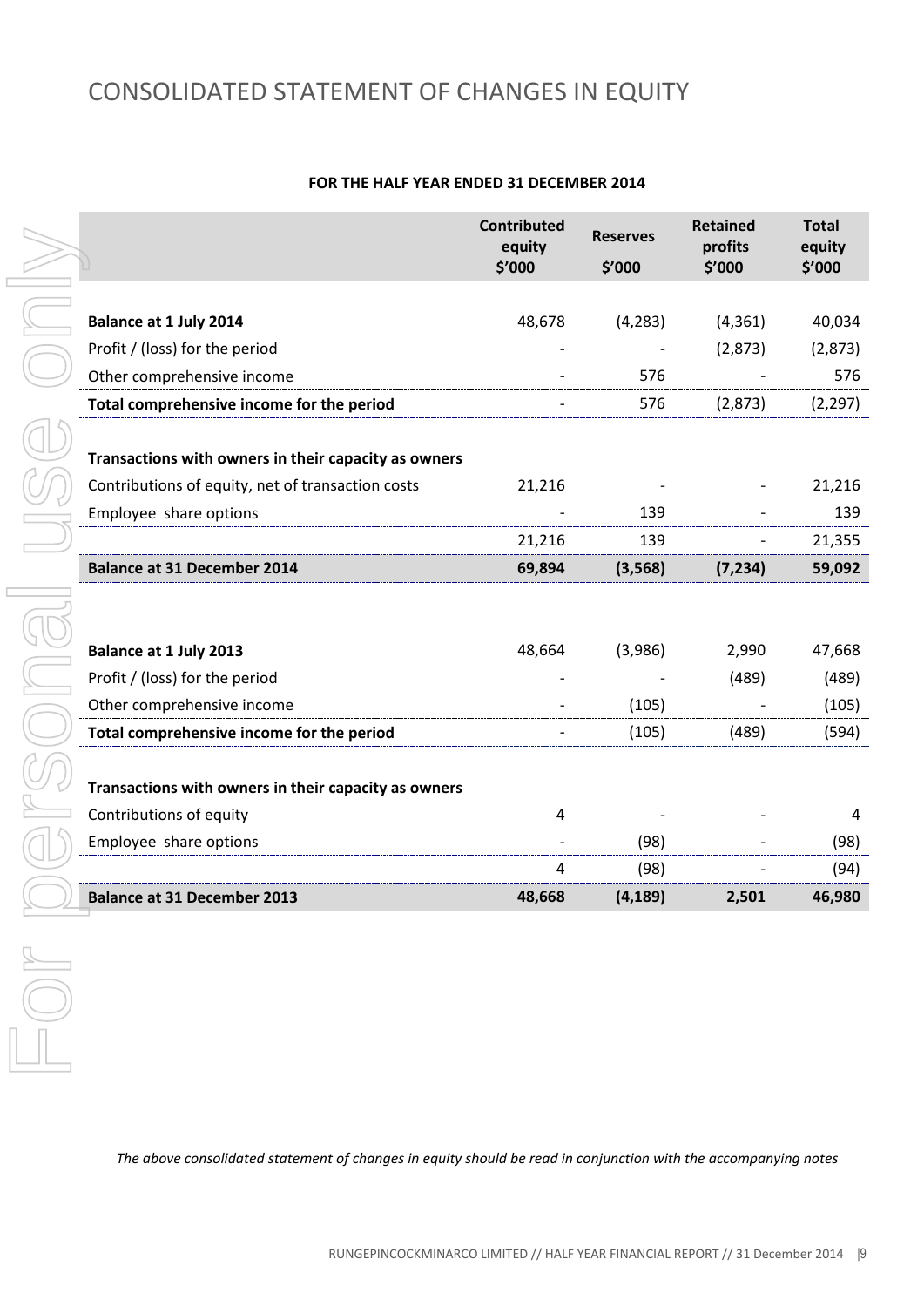# CONSOLIDATED STATEMENT OF CHANGES IN EQUITY

#### **FOR THE HALF YEAR ENDED 31 DECEMBER 2014**

|                                                      | <b>Contributed</b><br>equity<br>\$'000 | <b>Reserves</b><br>\$'000 | <b>Retained</b><br>profits<br>\$'000 | <b>Total</b><br>equity<br>\$'000 |
|------------------------------------------------------|----------------------------------------|---------------------------|--------------------------------------|----------------------------------|
|                                                      |                                        |                           |                                      |                                  |
| <b>Balance at 1 July 2014</b>                        | 48,678                                 | (4, 283)                  | (4, 361)                             | 40,034                           |
| Profit / (loss) for the period                       |                                        |                           | (2,873)                              | (2,873)                          |
| Other comprehensive income                           |                                        | 576                       |                                      | 576                              |
| Total comprehensive income for the period            |                                        | 576                       | (2,873)                              | (2, 297)                         |
|                                                      |                                        |                           |                                      |                                  |
| Transactions with owners in their capacity as owners |                                        |                           |                                      |                                  |
| Contributions of equity, net of transaction costs    | 21,216                                 |                           |                                      | 21,216                           |
| Employee share options                               |                                        | 139                       |                                      | 139                              |
|                                                      | 21,216                                 | 139                       |                                      | 21,355                           |
| <b>Balance at 31 December 2014</b>                   | 69,894                                 | (3, 568)                  | (7, 234)                             | 59,092                           |
|                                                      |                                        |                           |                                      |                                  |
|                                                      |                                        |                           |                                      |                                  |
| <b>Balance at 1 July 2013</b>                        | 48,664                                 | (3,986)                   | 2,990                                | 47,668                           |
| Profit / (loss) for the period                       |                                        |                           | (489)                                | (489)                            |
| Other comprehensive income                           |                                        | (105)                     |                                      | (105)                            |
| Total comprehensive income for the period            |                                        | (105)                     | (489)                                | (594)                            |
|                                                      |                                        |                           |                                      |                                  |
| Transactions with owners in their capacity as owners |                                        |                           |                                      |                                  |
| Contributions of equity                              | 4                                      |                           |                                      | 4                                |
| Employee share options                               |                                        | (98)                      |                                      | (98)                             |
|                                                      | 4                                      | (98)                      |                                      | (94)                             |
| <b>Balance at 31 December 2013</b>                   | 48,668                                 | (4, 189)                  | 2,501                                | 46,980                           |

*The above consolidated statement of changes in equity should be read in conjunction with the accompanying notes*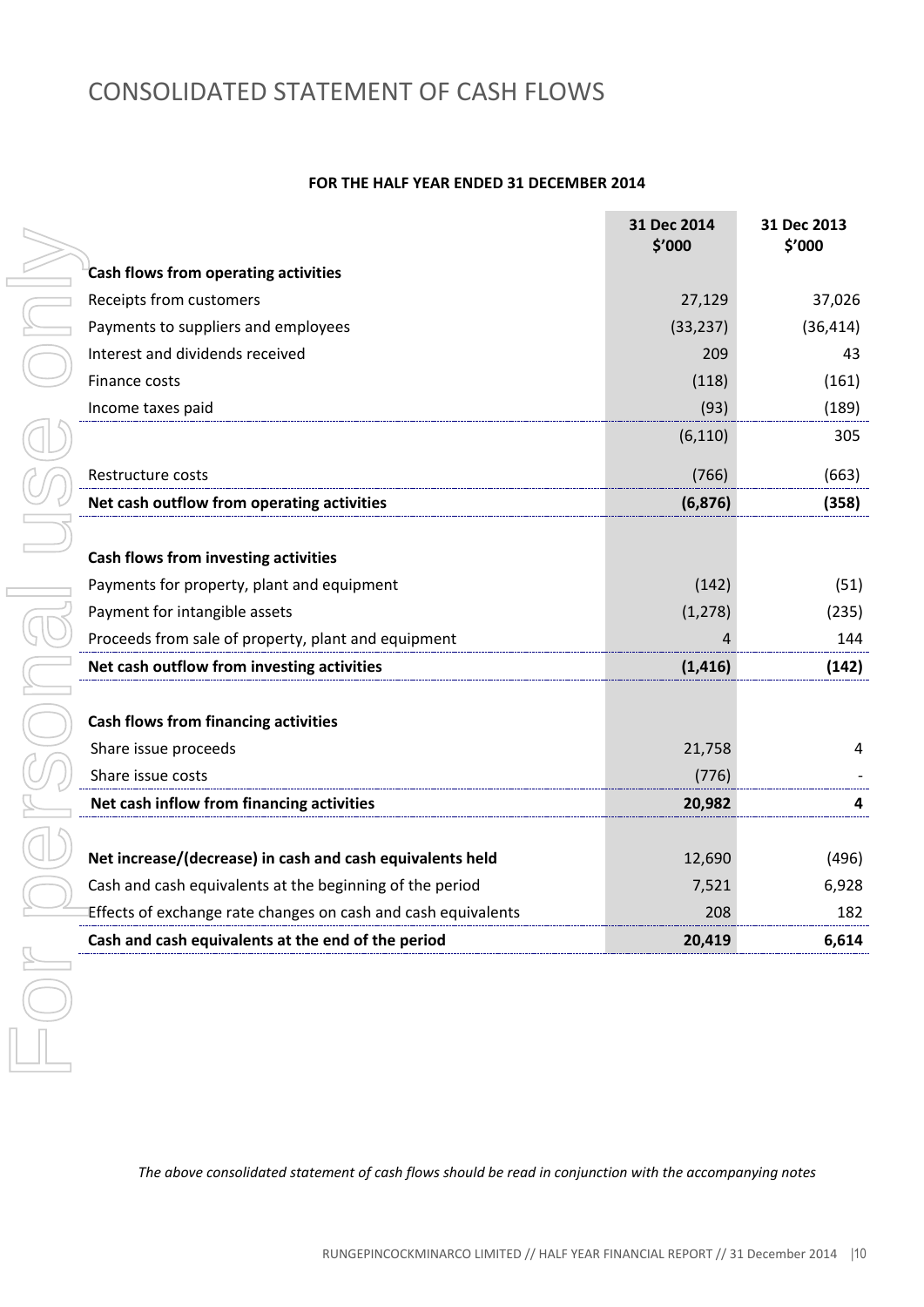# CONSOLIDATED STATEMENT OF CASH FLOWS

#### **FOR THE HALF YEAR ENDED 31 DECEMBER 2014**

|                                                               | 31 Dec 2014<br>\$'000 | 31 Dec 2013<br>\$'000 |
|---------------------------------------------------------------|-----------------------|-----------------------|
| Cash flows from operating activities                          |                       |                       |
| Receipts from customers                                       | 27,129                | 37,026                |
| Payments to suppliers and employees                           | (33, 237)             | (36, 414)             |
| Interest and dividends received                               | 209                   | 43                    |
| Finance costs                                                 | (118)                 | (161)                 |
| Income taxes paid                                             | (93)                  | (189)                 |
|                                                               | (6, 110)              | 305                   |
| Restructure costs                                             | (766)                 | (663)                 |
| Net cash outflow from operating activities                    | (6, 876)              | (358)                 |
|                                                               |                       |                       |
| Cash flows from investing activities                          |                       |                       |
| Payments for property, plant and equipment                    | (142)                 | (51)                  |
| Payment for intangible assets                                 | (1, 278)              | (235)                 |
| Proceeds from sale of property, plant and equipment           |                       | 144                   |
| Net cash outflow from investing activities                    | (1, 416)              | (142)                 |
|                                                               |                       |                       |
| <b>Cash flows from financing activities</b>                   |                       |                       |
| Share issue proceeds                                          | 21,758                | 4                     |
| Share issue costs                                             | (776)                 |                       |
| Net cash inflow from financing activities                     | 20,982                | 4                     |
|                                                               |                       |                       |
| Net increase/(decrease) in cash and cash equivalents held     | 12,690                | (496)                 |
| Cash and cash equivalents at the beginning of the period      | 7,521                 | 6,928                 |
| Effects of exchange rate changes on cash and cash equivalents | 208                   | 182                   |
| Cash and cash equivalents at the end of the period            | 20,419                | 6,614                 |

*The above consolidated statement of cash flows should be read in conjunction with the accompanying notes*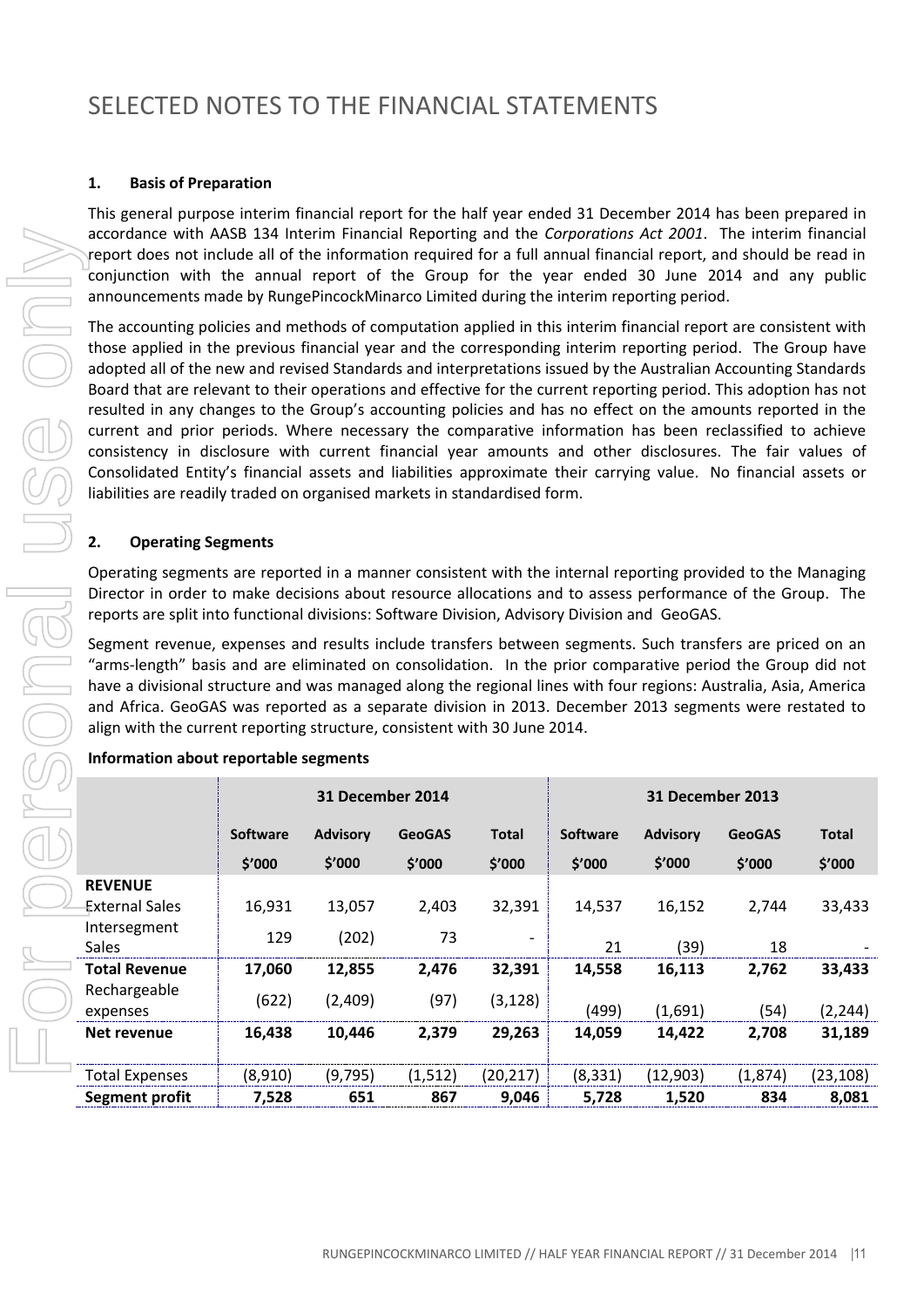#### **1. Basis of Preparation**

This general purpose interim financial report for the half year ended 31 December 2014 has been prepared in accordance with AASB 134 Interim Financial Reporting and the *Corporations Act 2001*. The interim financial report does not include all of the information required for a full annual financial report, and should be read in conjunction with the annual report of the Group for the year ended 30 June 2014 and any public announcements made by RungePincockMinarco Limited during the interim reporting period.

#### **2. Operating Segments**

| accordance with AASB 134 Interim Financial Reporting and the Corporations Act 2001. The interim financial<br>report does not include all of the information required for a full annual financial report, and should be read in                                                                                                                                                                                                                                                                                                                                                       |                 |                  |               |              |          |                  |               |              |
|--------------------------------------------------------------------------------------------------------------------------------------------------------------------------------------------------------------------------------------------------------------------------------------------------------------------------------------------------------------------------------------------------------------------------------------------------------------------------------------------------------------------------------------------------------------------------------------|-----------------|------------------|---------------|--------------|----------|------------------|---------------|--------------|
| conjunction with the annual report of the Group for the year ended 30 June 2014 and any public<br>announcements made by RungePincockMinarco Limited during the interim reporting period.                                                                                                                                                                                                                                                                                                                                                                                             |                 |                  |               |              |          |                  |               |              |
| The accounting policies and methods of computation applied in this interim financial report are consistent with<br>those applied in the previous financial year and the corresponding interim reporting period. The Group have<br>adopted all of the new and revised Standards and interpretations issued by the Australian Accounting Standards<br>Board that are relevant to their operations and effective for the current reporting period. This adoption has not<br>resulted in any changes to the Group's accounting policies and has no effect on the amounts reported in the |                 |                  |               |              |          |                  |               |              |
| current and prior periods. Where necessary the comparative information has been reclassified to achieve<br>consistency in disclosure with current financial year amounts and other disclosures. The fair values of<br>Consolidated Entity's financial assets and liabilities approximate their carrying value. No financial assets or<br>liabilities are readily traded on organised markets in standardised form.                                                                                                                                                                   |                 |                  |               |              |          |                  |               |              |
| <b>Operating Segments</b><br>2.                                                                                                                                                                                                                                                                                                                                                                                                                                                                                                                                                      |                 |                  |               |              |          |                  |               |              |
| Operating segments are reported in a manner consistent with the internal reporting provided to the Managing<br>Director in order to make decisions about resource allocations and to assess performance of the Group. The<br>reports are split into functional divisions: Software Division, Advisory Division and GeoGAS.                                                                                                                                                                                                                                                           |                 |                  |               |              |          |                  |               |              |
| Segment revenue, expenses and results include transfers between segments. Such transfers are priced on an<br>"arms-length" basis and are eliminated on consolidation. In the prior comparative period the Group did not<br>have a divisional structure and was managed along the regional lines with four regions: Australia, Asia, America<br>and Africa. GeoGAS was reported as a separate division in 2013. December 2013 segments were restated to<br>align with the current reporting structure, consistent with 30 June 2014.                                                  |                 |                  |               |              |          |                  |               |              |
| Information about reportable segments                                                                                                                                                                                                                                                                                                                                                                                                                                                                                                                                                |                 |                  |               |              |          |                  |               |              |
|                                                                                                                                                                                                                                                                                                                                                                                                                                                                                                                                                                                      |                 | 31 December 2014 |               |              |          | 31 December 2013 |               |              |
|                                                                                                                                                                                                                                                                                                                                                                                                                                                                                                                                                                                      | <b>Software</b> | <b>Advisory</b>  | <b>GeoGAS</b> | <b>Total</b> | Software | <b>Advisory</b>  | <b>GeoGAS</b> | <b>Total</b> |
|                                                                                                                                                                                                                                                                                                                                                                                                                                                                                                                                                                                      | \$'000          | \$′000           | \$'000        | \$'000       | \$′000   | \$'000           | \$′000        | \$′000       |
| <b>REVENUE</b><br><b>External Sales</b>                                                                                                                                                                                                                                                                                                                                                                                                                                                                                                                                              | 16,931          | 13,057           | 2,403         | 32,391       | 14,537   | 16,152           | 2,744         | 33,433       |
| Intersegment<br>Sales                                                                                                                                                                                                                                                                                                                                                                                                                                                                                                                                                                | 129             | (202)            | 73            |              | 21       | (39)             | 18            |              |
| <b>Total Revenue</b>                                                                                                                                                                                                                                                                                                                                                                                                                                                                                                                                                                 | 17,060          | 12,855           | 2,476         | 32,391       | 14,558   | 16,113           | 2,762         | 33,433       |
| Rechargeable<br>expenses                                                                                                                                                                                                                                                                                                                                                                                                                                                                                                                                                             | (622)           | (2,409)          | (97)          | (3, 128)     | (499)    | (1,691)          | (54)          | (2, 244)     |
| Net revenue                                                                                                                                                                                                                                                                                                                                                                                                                                                                                                                                                                          | 16,438          | 10,446           | 2,379         | 29,263       | 14,059   | 14,422           | 2,708         | 31,189       |
| <b>Total Expenses</b>                                                                                                                                                                                                                                                                                                                                                                                                                                                                                                                                                                | (8,910)         | (9, 795)         | (1, 512)      | (20, 217)    | (8, 331) | (12, 903)        | (1,874)       | (23, 108)    |
| <b>Segment profit</b>                                                                                                                                                                                                                                                                                                                                                                                                                                                                                                                                                                | 7,528           | 651              | 867           | 9,046        | 5,728    | 1,520            | 834           | 8,081        |

#### **Information about reportable segments**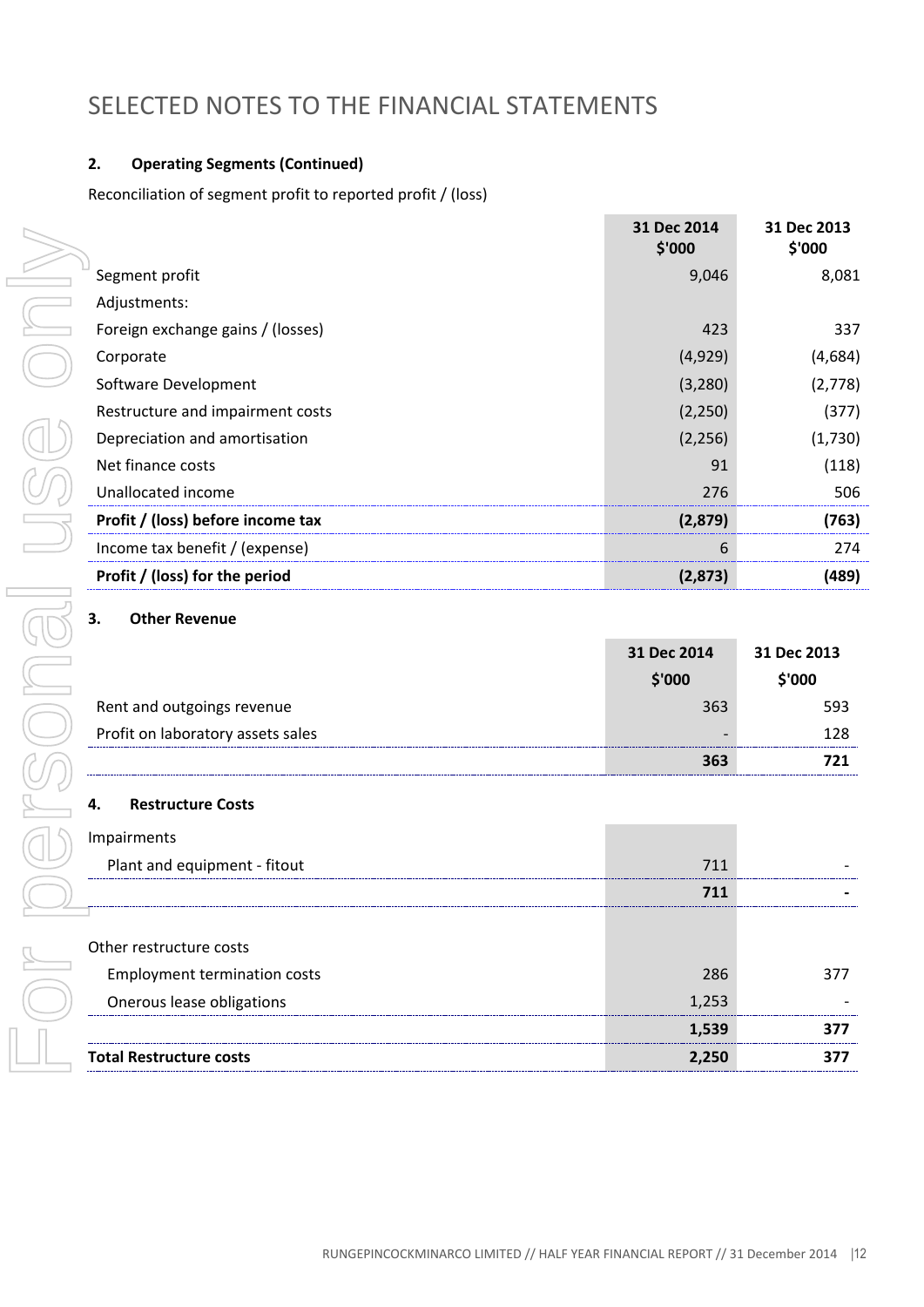### **2. Operating Segments (Continued)**

Reconciliation of segment profit to reported profit / (loss)

|                                     | 31 Dec 2014<br>\$'000 | 31 Dec 2013<br>\$'000 |
|-------------------------------------|-----------------------|-----------------------|
| Segment profit                      | 9,046                 | 8,081                 |
| Adjustments:                        |                       |                       |
| Foreign exchange gains / (losses)   | 423                   | 337                   |
| Corporate                           | (4,929)               | (4,684)               |
| Software Development                | (3, 280)              | (2,778)               |
| Restructure and impairment costs    | (2, 250)              | (377)                 |
| Depreciation and amortisation       | (2, 256)              | (1,730)               |
| Net finance costs                   | 91                    | (118)                 |
| Unallocated income                  | 276                   | 506                   |
| Profit / (loss) before income tax   | (2,879)               | (763)                 |
| Income tax benefit / (expense)      | 6                     | 274                   |
| Profit / (loss) for the period      | (2,873)               | (489)                 |
| <b>Other Revenue</b><br>3.          |                       |                       |
|                                     |                       |                       |
|                                     | 31 Dec 2014           | 31 Dec 2013           |
|                                     | \$'000                | \$'000                |
| Rent and outgoings revenue          | 363                   | 593                   |
| Profit on laboratory assets sales   |                       | 128                   |
|                                     | 363                   | 721                   |
| <b>Restructure Costs</b><br>4.      |                       |                       |
| Impairments                         |                       |                       |
| Plant and equipment - fitout        | 711                   |                       |
|                                     | 711                   |                       |
|                                     |                       |                       |
| Other restructure costs             |                       |                       |
| <b>Employment termination costs</b> | 286                   | 377                   |
| Onerous lease obligations           | 1,253                 |                       |
|                                     | 1,539                 | 377                   |

#### **3. Other Revenue**

|                                   | 31 Dec 2014 | 31 Dec 2013 |
|-----------------------------------|-------------|-------------|
|                                   | \$'000      | \$'000      |
| Rent and outgoings revenue        | 363         | 593         |
| Profit on laboratory assets sales |             | 128         |
|                                   | 363         |             |

### **4. Restructure Costs**

| Impairments                         |                                                 |  |
|-------------------------------------|-------------------------------------------------|--|
| Plant and equipment - fitout        | 711                                             |  |
|                                     |                                                 |  |
|                                     |                                                 |  |
| Other restructure costs             |                                                 |  |
| <b>Employment termination costs</b> | 286                                             |  |
| Onerous lease obligations           | 1.253<br>-------------------------------------- |  |
|                                     | 1.539                                           |  |
| <b>Total Restructure costs</b>      |                                                 |  |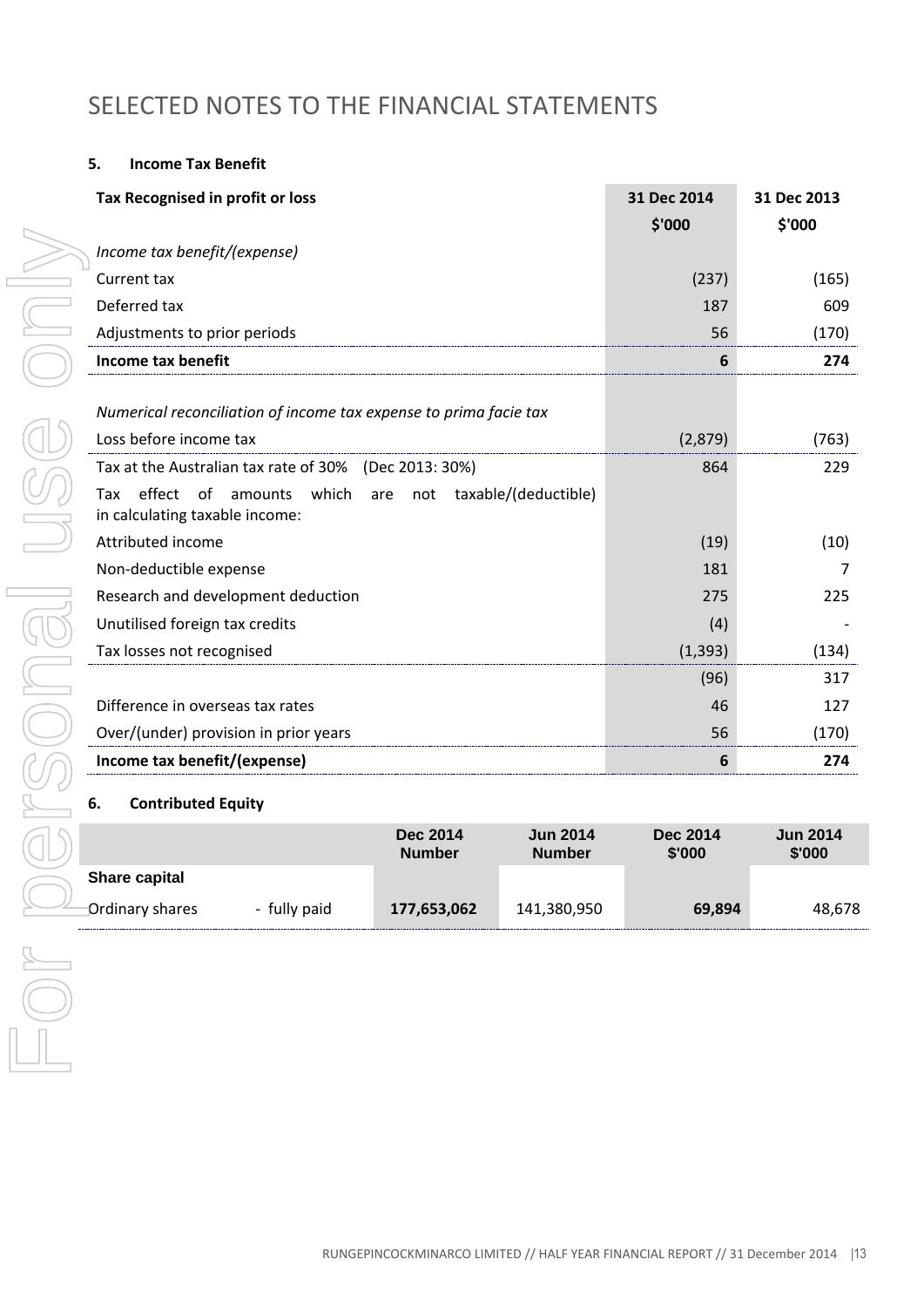#### **5. Income Tax Benefit**

| Tax Recognised in profit or loss                                                              |                                  |                                  | 31 Dec 2014               | 31 Dec 2013               |
|-----------------------------------------------------------------------------------------------|----------------------------------|----------------------------------|---------------------------|---------------------------|
|                                                                                               |                                  |                                  | \$'000                    | \$'000                    |
| Income tax benefit/(expense)                                                                  |                                  |                                  |                           |                           |
| Current tax                                                                                   |                                  |                                  | (237)                     | (165)                     |
| Deferred tax                                                                                  |                                  |                                  | 187                       | 609                       |
| Adjustments to prior periods                                                                  |                                  |                                  | 56                        | (170)                     |
| Income tax benefit                                                                            |                                  |                                  | $6\phantom{1}6$           | 274                       |
|                                                                                               |                                  |                                  |                           |                           |
| Numerical reconciliation of income tax expense to prima facie tax                             |                                  |                                  |                           |                           |
| Loss before income tax                                                                        |                                  |                                  | (2,879)                   | (763)                     |
| Tax at the Australian tax rate of 30% (Dec 2013: 30%)                                         |                                  |                                  | 864                       | 229                       |
| effect of amounts which are not taxable/(deductible)<br>Tax<br>in calculating taxable income: |                                  |                                  |                           |                           |
| Attributed income                                                                             |                                  |                                  | (19)                      | (10)                      |
| Non-deductible expense                                                                        |                                  |                                  | 181                       | 7                         |
| Research and development deduction                                                            |                                  |                                  | 275                       | 225                       |
| Unutilised foreign tax credits                                                                |                                  | (4)                              |                           |                           |
| Tax losses not recognised                                                                     |                                  | (1, 393)                         | (134)                     |                           |
|                                                                                               |                                  | (96)                             | 317                       |                           |
| Difference in overseas tax rates                                                              |                                  |                                  | 46                        | 127                       |
| Over/(under) provision in prior years                                                         |                                  |                                  | 56                        | (170)                     |
| Income tax benefit/(expense)                                                                  |                                  |                                  | 6                         | 274                       |
| <b>Contributed Equity</b><br>6.                                                               |                                  |                                  |                           |                           |
|                                                                                               | <b>Dec 2014</b><br><b>Number</b> | <b>Jun 2014</b><br><b>Number</b> | <b>Dec 2014</b><br>\$'000 | <b>Jun 2014</b><br>\$'000 |
| <b>Share capital</b>                                                                          |                                  |                                  |                           |                           |
| <b>Ordinary shares</b><br>- fully paid                                                        | 177,653,062                      | 141,380,950                      | 69,894                    | 48,678                    |
|                                                                                               |                                  |                                  |                           |                           |
|                                                                                               |                                  |                                  |                           |                           |
|                                                                                               |                                  |                                  |                           |                           |
|                                                                                               |                                  |                                  |                           |                           |
|                                                                                               |                                  |                                  |                           |                           |

#### **6. Contributed Equity**

|                 |              | Dec 2014<br><b>Number</b> | <b>Jun 2014</b><br><b>Number</b> | Dec 2014<br>\$'000 | <b>Jun 2014</b><br>\$'000 |
|-----------------|--------------|---------------------------|----------------------------------|--------------------|---------------------------|
| Share capital   |              |                           |                                  |                    |                           |
| Ordinary shares | - fully paid | 177,653,062               | 141,380,950                      | 69,894             | 48.678                    |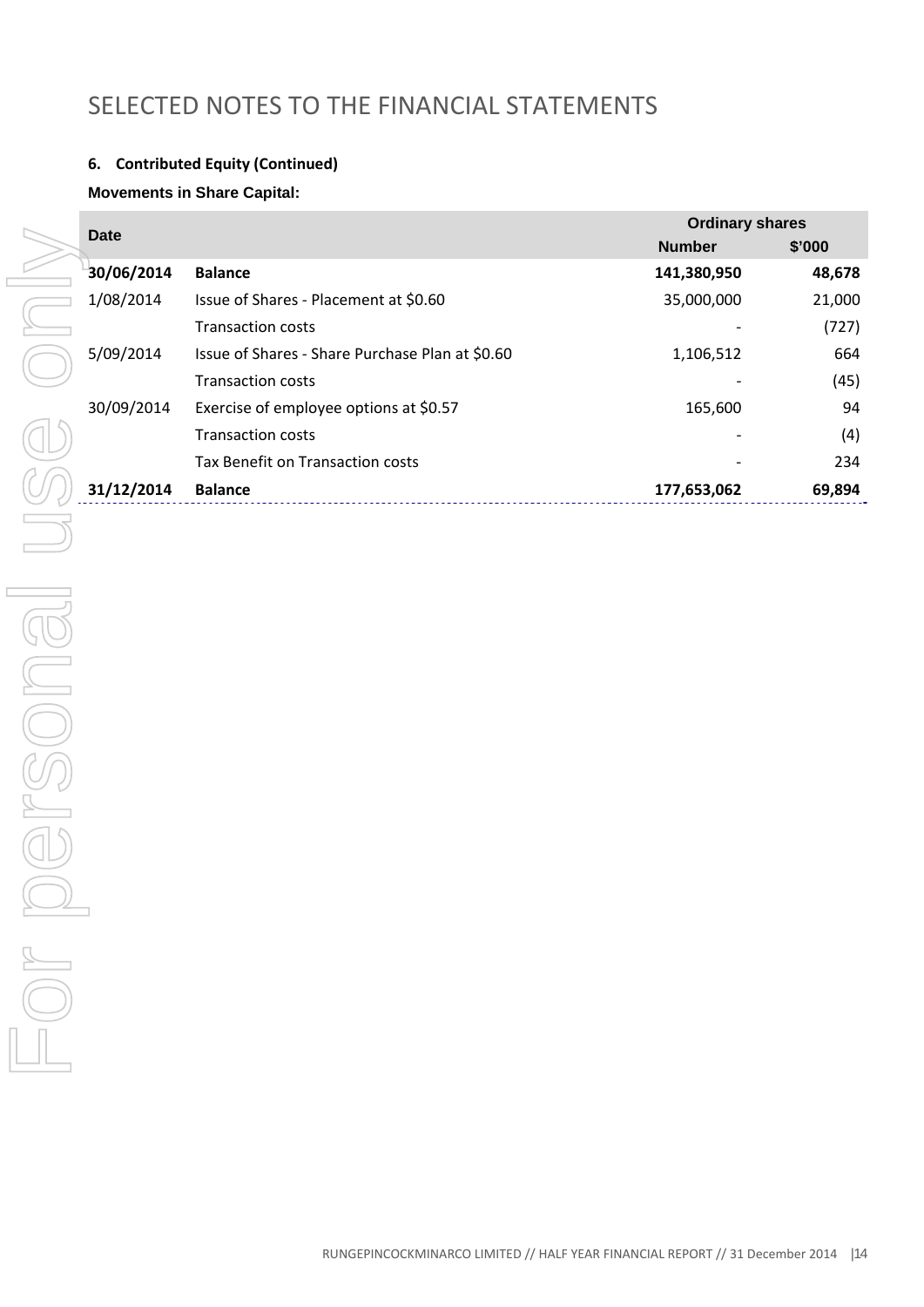### **6. Contributed Equity (Continued)**

### **Movements in Share Capital:**

|      | <b>Date</b> |                                                 | <b>Ordinary shares</b> |        |  |
|------|-------------|-------------------------------------------------|------------------------|--------|--|
|      |             |                                                 | <b>Number</b>          | \$'000 |  |
|      | 30/06/2014  | <b>Balance</b>                                  | 141,380,950            | 48,678 |  |
|      | 1/08/2014   | Issue of Shares - Placement at \$0.60           | 35,000,000             | 21,000 |  |
|      |             | <b>Transaction costs</b>                        |                        | (727)  |  |
|      | 5/09/2014   | Issue of Shares - Share Purchase Plan at \$0.60 | 1,106,512              | 664    |  |
|      |             | <b>Transaction costs</b>                        |                        | (45)   |  |
|      | 30/09/2014  | Exercise of employee options at \$0.57          | 165,600                | 94     |  |
|      |             | <b>Transaction costs</b>                        |                        | (4)    |  |
|      |             | Tax Benefit on Transaction costs                |                        | 234    |  |
|      | 31/12/2014  | <b>Balance</b>                                  | 177,653,062            | 69,894 |  |
|      |             |                                                 |                        |        |  |
|      |             |                                                 |                        |        |  |
|      |             |                                                 |                        |        |  |
|      |             |                                                 |                        |        |  |
|      |             |                                                 |                        |        |  |
|      |             |                                                 |                        |        |  |
|      |             |                                                 |                        |        |  |
|      |             |                                                 |                        |        |  |
|      |             |                                                 |                        |        |  |
|      |             |                                                 |                        |        |  |
|      |             |                                                 |                        |        |  |
|      |             |                                                 |                        |        |  |
|      |             |                                                 |                        |        |  |
|      |             |                                                 |                        |        |  |
| $ -$ |             |                                                 |                        |        |  |
|      |             |                                                 |                        |        |  |
|      |             |                                                 |                        |        |  |
|      |             |                                                 |                        |        |  |
|      |             |                                                 |                        |        |  |
|      |             |                                                 |                        |        |  |
|      |             |                                                 |                        |        |  |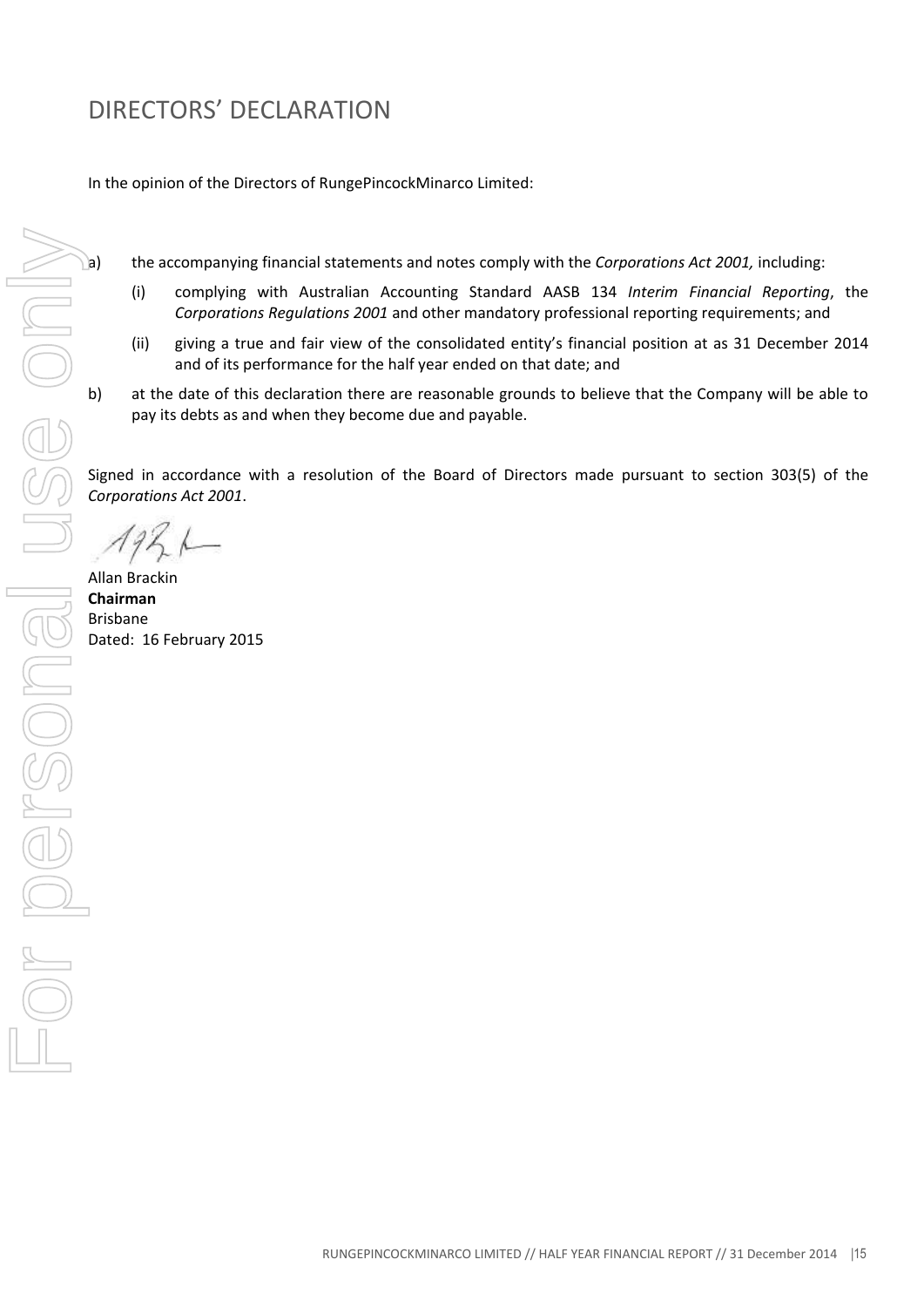In the opinion of the Directors of RungePincockMinarco Limited:

a) the accompanying financial statements and notes comply with the *Corporations Act 2001,* including:

- (i) complying with Australian Accounting Standard AASB 134 *Interim Financial Reporting*, the *Corporations Regulations 2001* and other mandatory professional reporting requirements; and
- (ii) giving a true and fair view of the consolidated entity's financial position at as 31 December 2014 and of its performance for the half year ended on that date; and
- b) at the date of this declaration there are reasonable grounds to believe that the Company will be able to pay its debts as and when they become due and payable.

Signed in accordance with a resolution of the Board of Directors made pursuant to section 303(5) of the *Corporations Act 2001*.

Allan Brackin **Chairman** Brisbane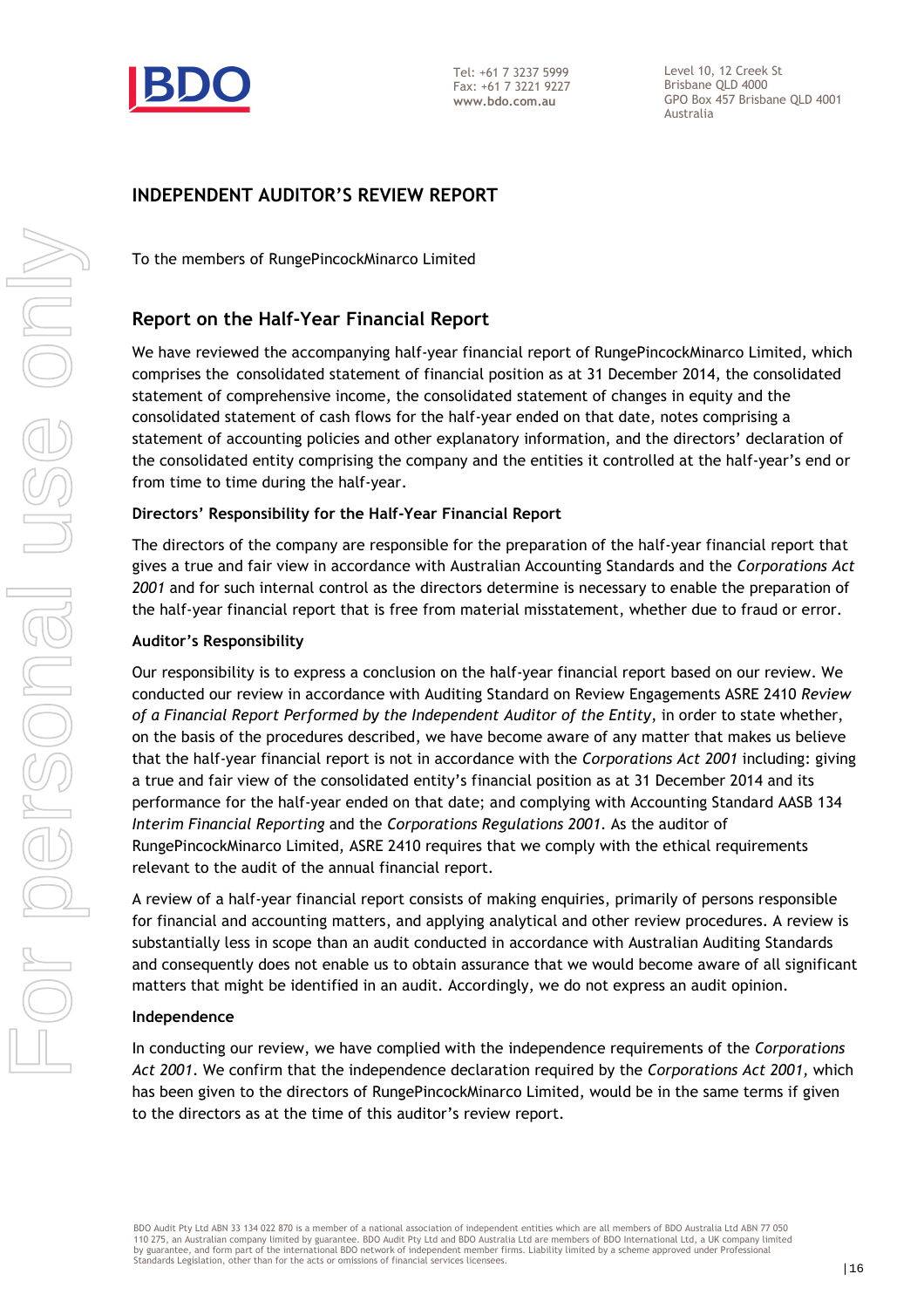

Level 10, 12 Creek St Brisbane QLD 4000 GPO Box 457 Brisbane QLD 4001 Australia

### INDEPENDENT AUDITOR'S REVIEW REPORT

To the members of RungePincockMinarco Limited

### Report on the Half-Year Financial Report

We have reviewed the accompanying half-year financial report of RungePincockMinarco Limited, which comprises the consolidated statement of financial position as at 31 December 2014, the consolidated statement of comprehensive income, the consolidated statement of changes in equity and the consolidated statement of cash flows for the half-year ended on that date, notes comprising a statement of accounting policies and other explanatory information, and the directors' declaration of the consolidated entity comprising the company and the entities it controlled at the half-year's end or from time to time during the half-year.

#### Directors' Responsibility for the Half-Year Financial Report

The directors of the company are responsible for the preparation of the half-year financial report that gives a true and fair view in accordance with Australian Accounting Standards and the Corporations Act 2001 and for such internal control as the directors determine is necessary to enable the preparation of the half-year financial report that is free from material misstatement, whether due to fraud or error.

#### Auditor's Responsibility

Our responsibility is to express a conclusion on the half-year financial report based on our review. We conducted our review in accordance with Auditing Standard on Review Engagements ASRE 2410 Review of a Financial Report Performed by the Independent Auditor of the Entity, in order to state whether, on the basis of the procedures described, we have become aware of any matter that makes us believe that the half-year financial report is not in accordance with the Corporations Act 2001 including: giving a true and fair view of the consolidated entity's financial position as at 31 December 2014 and its performance for the half-year ended on that date; and complying with Accounting Standard AASB 134 Interim Financial Reporting and the Corporations Regulations 2001. As the auditor of RungePincockMinarco Limited, ASRE 2410 requires that we comply with the ethical requirements relevant to the audit of the annual financial report.

A review of a half-year financial report consists of making enquiries, primarily of persons responsible for financial and accounting matters, and applying analytical and other review procedures. A review is substantially less in scope than an audit conducted in accordance with Australian Auditing Standards and consequently does not enable us to obtain assurance that we would become aware of all significant matters that might be identified in an audit. Accordingly, we do not express an audit opinion.

#### Independence

In conducting our review, we have complied with the independence requirements of the Corporations Act 2001. We confirm that the independence declaration required by the Corporations Act 2001, which has been given to the directors of RungePincockMinarco Limited, would be in the same terms if given to the directors as at the time of this auditor's review report.

BDO Audit Pty Ltd ABN 33 134 022 870 is a member of a national association of independent entities which are all members of BDO Australia Ltd ABN 77 050 110 275, an Australian company limited by guarantee. BDO Audit Pty Ltd and BDO Australia Ltd are members of BDO International Ltd, a UK company limited by guarantee, and form part of the international BDO network of independent member firms. Liability limited by a scheme approved under Professional<br>Standards Legislation, other than for the acts or omissions of financial s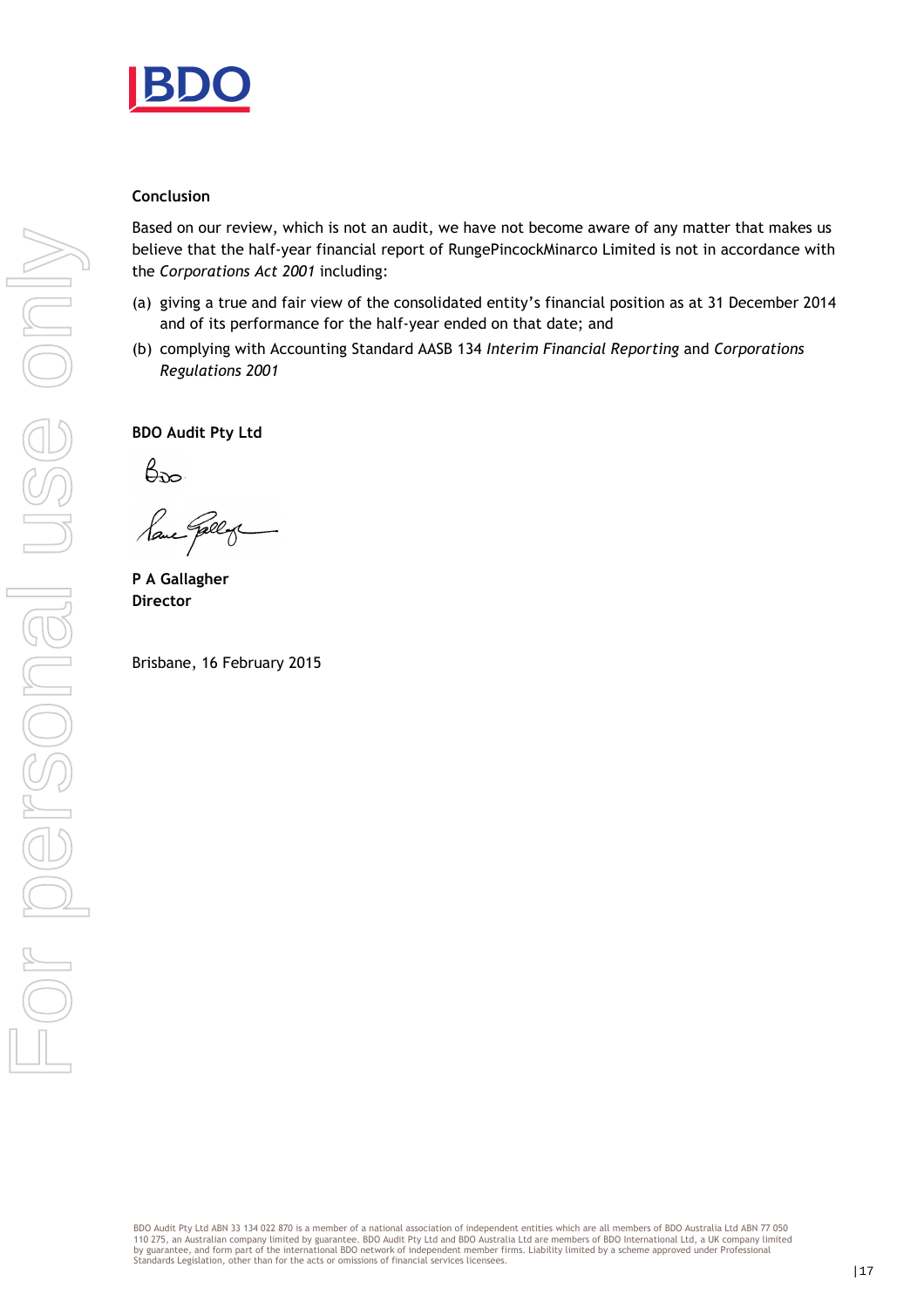

#### Conclusion

Based on our review, which is not an audit, we have not become aware of any matter that makes us believe that the half-year financial report of RungePincockMinarco Limited is not in accordance with the Corporations Act 2001 including:

- (a) giving a true and fair view of the consolidated entity's financial position as at 31 December 2014 and of its performance for the half-year ended on that date; and
- (b) complying with Accounting Standard AASB 134 Interim Financial Reporting and Corporations Regulations 2001

BDO Audit Pty Ltd

 $\beta_{\rm 2D}$ 

P A Gallagher Director

Brisbane, 16 February 2015